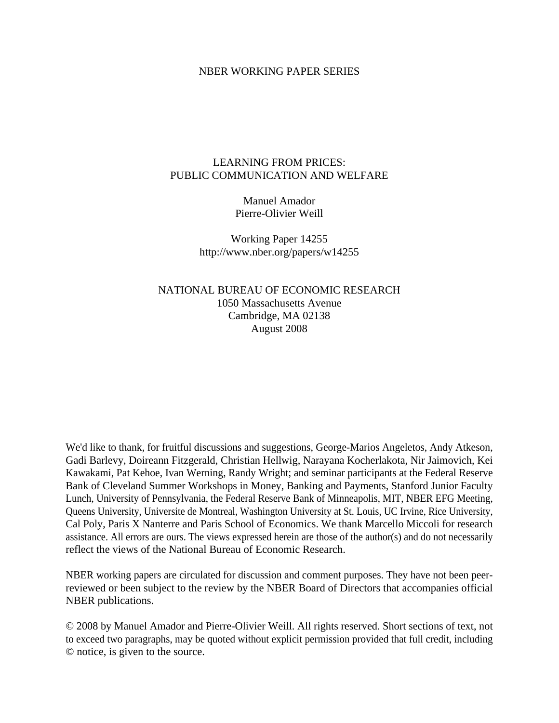### NBER WORKING PAPER SERIES

## LEARNING FROM PRICES: PUBLIC COMMUNICATION AND WELFARE

Manuel Amador Pierre-Olivier Weill

Working Paper 14255 http://www.nber.org/papers/w14255

NATIONAL BUREAU OF ECONOMIC RESEARCH 1050 Massachusetts Avenue Cambridge, MA 02138 August 2008

We'd like to thank, for fruitful discussions and suggestions, George-Marios Angeletos, Andy Atkeson, Gadi Barlevy, Doireann Fitzgerald, Christian Hellwig, Narayana Kocherlakota, Nir Jaimovich, Kei Kawakami, Pat Kehoe, Ivan Werning, Randy Wright; and seminar participants at the Federal Reserve Bank of Cleveland Summer Workshops in Money, Banking and Payments, Stanford Junior Faculty Lunch, University of Pennsylvania, the Federal Reserve Bank of Minneapolis, MIT, NBER EFG Meeting, Queens University, Universite de Montreal, Washington University at St. Louis, UC Irvine, Rice University, Cal Poly, Paris X Nanterre and Paris School of Economics. We thank Marcello Miccoli for research assistance. All errors are ours. The views expressed herein are those of the author(s) and do not necessarily reflect the views of the National Bureau of Economic Research.

NBER working papers are circulated for discussion and comment purposes. They have not been peerreviewed or been subject to the review by the NBER Board of Directors that accompanies official NBER publications.

© 2008 by Manuel Amador and Pierre-Olivier Weill. All rights reserved. Short sections of text, not to exceed two paragraphs, may be quoted without explicit permission provided that full credit, including © notice, is given to the source.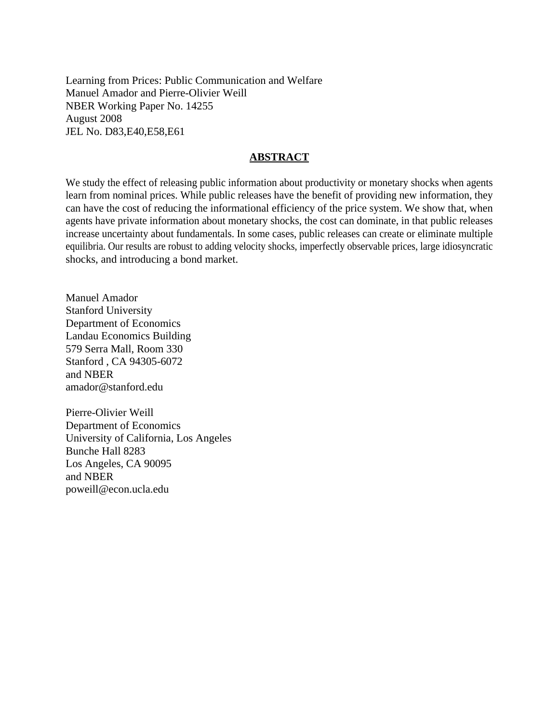Learning from Prices: Public Communication and Welfare Manuel Amador and Pierre-Olivier Weill NBER Working Paper No. 14255 August 2008 JEL No. D83,E40,E58,E61

### **ABSTRACT**

We study the effect of releasing public information about productivity or monetary shocks when agents learn from nominal prices. While public releases have the benefit of providing new information, they can have the cost of reducing the informational efficiency of the price system. We show that, when agents have private information about monetary shocks, the cost can dominate, in that public releases increase uncertainty about fundamentals. In some cases, public releases can create or eliminate multiple equilibria. Our results are robust to adding velocity shocks, imperfectly observable prices, large idiosyncratic shocks, and introducing a bond market.

Manuel Amador Stanford University Department of Economics Landau Economics Building 579 Serra Mall, Room 330 Stanford , CA 94305-6072 and NBER amador@stanford.edu

Pierre-Olivier Weill Department of Economics University of California, Los Angeles Bunche Hall 8283 Los Angeles, CA 90095 and NBER poweill@econ.ucla.edu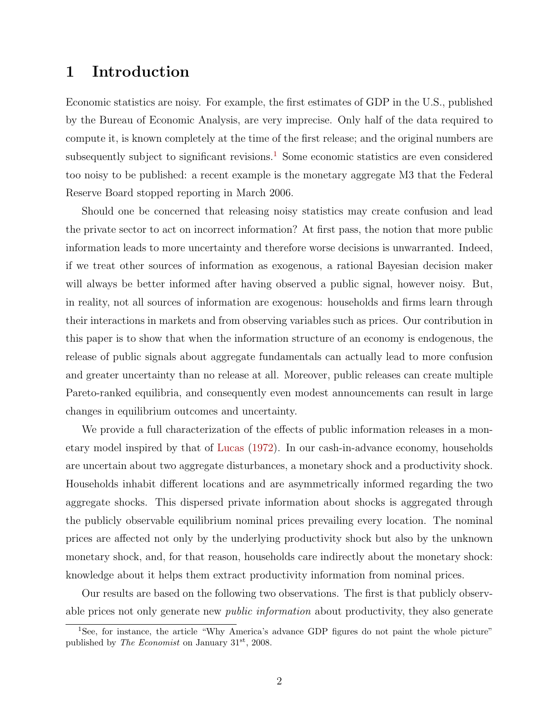# <span id="page-2-1"></span>1 Introduction

Economic statistics are noisy. For example, the first estimates of GDP in the U.S., published by the Bureau of Economic Analysis, are very imprecise. Only half of the data required to compute it, is known completely at the time of the first release; and the original numbers are subsequently subject to significant revisions.<sup>[1](#page-2-0)</sup> Some economic statistics are even considered too noisy to be published: a recent example is the monetary aggregate M3 that the Federal Reserve Board stopped reporting in March 2006.

Should one be concerned that releasing noisy statistics may create confusion and lead the private sector to act on incorrect information? At first pass, the notion that more public information leads to more uncertainty and therefore worse decisions is unwarranted. Indeed, if we treat other sources of information as exogenous, a rational Bayesian decision maker will always be better informed after having observed a public signal, however noisy. But, in reality, not all sources of information are exogenous: households and firms learn through their interactions in markets and from observing variables such as prices. Our contribution in this paper is to show that when the information structure of an economy is endogenous, the release of public signals about aggregate fundamentals can actually lead to more confusion and greater uncertainty than no release at all. Moreover, public releases can create multiple Pareto-ranked equilibria, and consequently even modest announcements can result in large changes in equilibrium outcomes and uncertainty.

We provide a full characterization of the effects of public information releases in a monetary model inspired by that of [Lucas](#page-49-0) [\(1972\)](#page-49-0). In our cash-in-advance economy, households are uncertain about two aggregate disturbances, a monetary shock and a productivity shock. Households inhabit different locations and are asymmetrically informed regarding the two aggregate shocks. This dispersed private information about shocks is aggregated through the publicly observable equilibrium nominal prices prevailing every location. The nominal prices are affected not only by the underlying productivity shock but also by the unknown monetary shock, and, for that reason, households care indirectly about the monetary shock: knowledge about it helps them extract productivity information from nominal prices.

Our results are based on the following two observations. The first is that publicly observable prices not only generate new *public information* about productivity, they also generate

<span id="page-2-0"></span><sup>1</sup>See, for instance, the article "Why America's advance GDP figures do not paint the whole picture" published by The Economist on January 31st, 2008.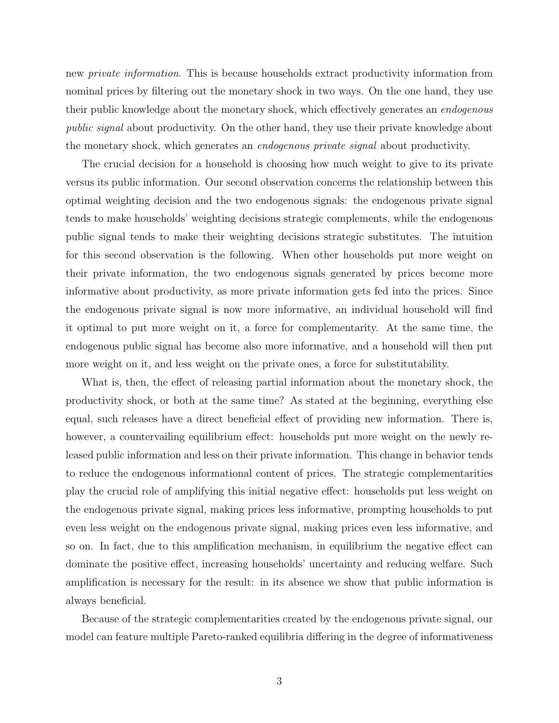new *private information*. This is because households extract productivity information from nominal prices by filtering out the monetary shock in two ways. On the one hand, they use their public knowledge about the monetary shock, which effectively generates an endogenous public signal about productivity. On the other hand, they use their private knowledge about the monetary shock, which generates an endogenous private signal about productivity.

The crucial decision for a household is choosing how much weight to give to its private versus its public information. Our second observation concerns the relationship between this optimal weighting decision and the two endogenous signals: the endogenous private signal tends to make households' weighting decisions strategic complements, while the endogenous public signal tends to make their weighting decisions strategic substitutes. The intuition for this second observation is the following. When other households put more weight on their private information, the two endogenous signals generated by prices become more informative about productivity, as more private information gets fed into the prices. Since the endogenous private signal is now more informative, an individual household will find it optimal to put more weight on it, a force for complementarity. At the same time, the endogenous public signal has become also more informative, and a household will then put more weight on it, and less weight on the private ones, a force for substitutability.

What is, then, the effect of releasing partial information about the monetary shock, the productivity shock, or both at the same time? As stated at the beginning, everything else equal, such releases have a direct beneficial effect of providing new information. There is, however, a countervailing equilibrium effect: households put more weight on the newly released public information and less on their private information. This change in behavior tends to reduce the endogenous informational content of prices. The strategic complementarities play the crucial role of amplifying this initial negative effect: households put less weight on the endogenous private signal, making prices less informative, prompting households to put even less weight on the endogenous private signal, making prices even less informative, and so on. In fact, due to this amplification mechanism, in equilibrium the negative effect can dominate the positive effect, increasing households' uncertainty and reducing welfare. Such amplification is necessary for the result: in its absence we show that public information is always beneficial.

Because of the strategic complementarities created by the endogenous private signal, our model can feature multiple Pareto-ranked equilibria differing in the degree of informativeness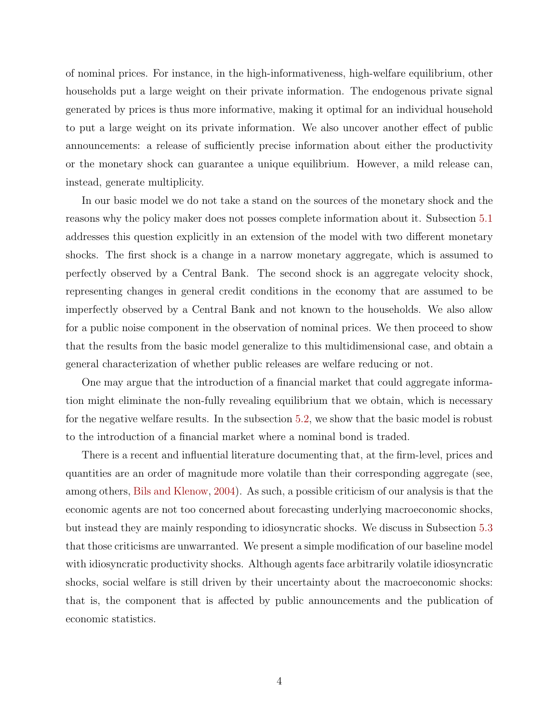<span id="page-4-0"></span>of nominal prices. For instance, in the high-informativeness, high-welfare equilibrium, other households put a large weight on their private information. The endogenous private signal generated by prices is thus more informative, making it optimal for an individual household to put a large weight on its private information. We also uncover another effect of public announcements: a release of sufficiently precise information about either the productivity or the monetary shock can guarantee a unique equilibrium. However, a mild release can, instead, generate multiplicity.

In our basic model we do not take a stand on the sources of the monetary shock and the reasons why the policy maker does not posses complete information about it. Subsection [5.1](#page-29-0) addresses this question explicitly in an extension of the model with two different monetary shocks. The first shock is a change in a narrow monetary aggregate, which is assumed to perfectly observed by a Central Bank. The second shock is an aggregate velocity shock, representing changes in general credit conditions in the economy that are assumed to be imperfectly observed by a Central Bank and not known to the households. We also allow for a public noise component in the observation of nominal prices. We then proceed to show that the results from the basic model generalize to this multidimensional case, and obtain a general characterization of whether public releases are welfare reducing or not.

One may argue that the introduction of a financial market that could aggregate information might eliminate the non-fully revealing equilibrium that we obtain, which is necessary for the negative welfare results. In the subsection [5.2,](#page-33-0) we show that the basic model is robust to the introduction of a financial market where a nominal bond is traded.

There is a recent and influential literature documenting that, at the firm-level, prices and quantities are an order of magnitude more volatile than their corresponding aggregate (see, among others, [Bils and Klenow,](#page-48-0) [2004\)](#page-48-0). As such, a possible criticism of our analysis is that the economic agents are not too concerned about forecasting underlying macroeconomic shocks, but instead they are mainly responding to idiosyncratic shocks. We discuss in Subsection [5.3](#page-34-0) that those criticisms are unwarranted. We present a simple modification of our baseline model with idiosyncratic productivity shocks. Although agents face arbitrarily volatile idiosyncratic shocks, social welfare is still driven by their uncertainty about the macroeconomic shocks: that is, the component that is affected by public announcements and the publication of economic statistics.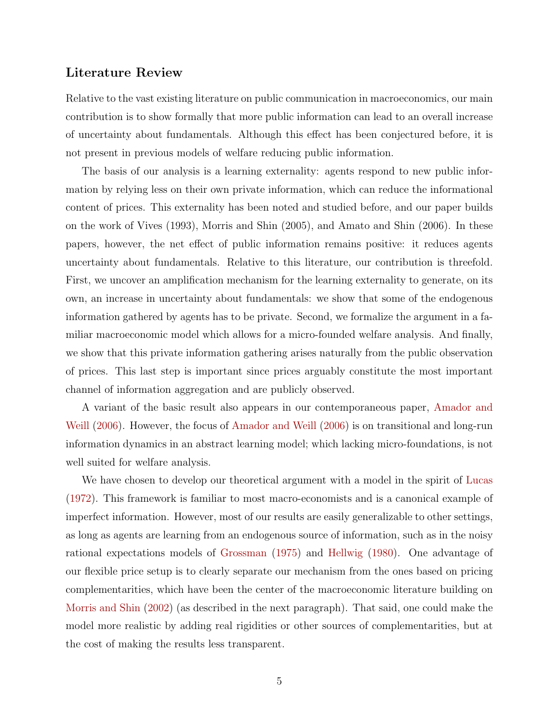# <span id="page-5-0"></span>Literature Review

Relative to the vast existing literature on public communication in macroeconomics, our main contribution is to show formally that more public information can lead to an overall increase of uncertainty about fundamentals. Although this effect has been conjectured before, it is not present in previous models of welfare reducing public information.

The basis of our analysis is a learning externality: agents respond to new public information by relying less on their own private information, which can reduce the informational content of prices. This externality has been noted and studied before, and our paper builds on the work of Vives (1993), Morris and Shin (2005), and Amato and Shin (2006). In these papers, however, the net effect of public information remains positive: it reduces agents uncertainty about fundamentals. Relative to this literature, our contribution is threefold. First, we uncover an amplification mechanism for the learning externality to generate, on its own, an increase in uncertainty about fundamentals: we show that some of the endogenous information gathered by agents has to be private. Second, we formalize the argument in a familiar macroeconomic model which allows for a micro-founded welfare analysis. And finally, we show that this private information gathering arises naturally from the public observation of prices. This last step is important since prices arguably constitute the most important channel of information aggregation and are publicly observed.

A variant of the basic result also appears in our contemporaneous paper, [Amador and](#page-48-1) [Weill](#page-48-1) [\(2006\)](#page-48-1). However, the focus of [Amador and Weill](#page-48-1) [\(2006\)](#page-48-1) is on transitional and long-run information dynamics in an abstract learning model; which lacking micro-foundations, is not well suited for welfare analysis.

We have chosen to develop our theoretical argument with a model in the spirit of [Lucas](#page-49-0) [\(1972\)](#page-49-0). This framework is familiar to most macro-economists and is a canonical example of imperfect information. However, most of our results are easily generalizable to other settings, as long as agents are learning from an endogenous source of information, such as in the noisy rational expectations models of [Grossman](#page-48-2) [\(1975\)](#page-48-2) and [Hellwig](#page-49-1) [\(1980\)](#page-49-1). One advantage of our flexible price setup is to clearly separate our mechanism from the ones based on pricing complementarities, which have been the center of the macroeconomic literature building on [Morris and Shin](#page-49-2) [\(2002\)](#page-49-2) (as described in the next paragraph). That said, one could make the model more realistic by adding real rigidities or other sources of complementarities, but at the cost of making the results less transparent.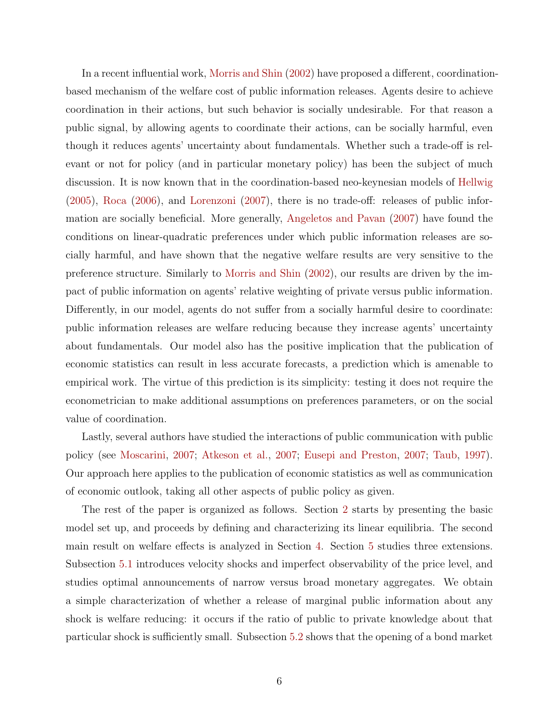<span id="page-6-0"></span>In a recent influential work, [Morris and Shin](#page-49-2) [\(2002\)](#page-49-2) have proposed a different, coordinationbased mechanism of the welfare cost of public information releases. Agents desire to achieve coordination in their actions, but such behavior is socially undesirable. For that reason a public signal, by allowing agents to coordinate their actions, can be socially harmful, even though it reduces agents' uncertainty about fundamentals. Whether such a trade-off is relevant or not for policy (and in particular monetary policy) has been the subject of much discussion. It is now known that in the coordination-based neo-keynesian models of [Hellwig](#page-48-3) [\(2005\)](#page-48-3), [Roca](#page-49-3) [\(2006\)](#page-49-3), and [Lorenzoni](#page-49-4) [\(2007\)](#page-49-4), there is no trade-off: releases of public information are socially beneficial. More generally, [Angeletos and Pavan](#page-48-4) [\(2007\)](#page-48-4) have found the conditions on linear-quadratic preferences under which public information releases are socially harmful, and have shown that the negative welfare results are very sensitive to the preference structure. Similarly to [Morris and Shin](#page-49-2) [\(2002\)](#page-49-2), our results are driven by the impact of public information on agents' relative weighting of private versus public information. Differently, in our model, agents do not suffer from a socially harmful desire to coordinate: public information releases are welfare reducing because they increase agents' uncertainty about fundamentals. Our model also has the positive implication that the publication of economic statistics can result in less accurate forecasts, a prediction which is amenable to empirical work. The virtue of this prediction is its simplicity: testing it does not require the econometrician to make additional assumptions on preferences parameters, or on the social value of coordination.

Lastly, several authors have studied the interactions of public communication with public policy (see [Moscarini,](#page-49-5) [2007;](#page-49-5) [Atkeson et al.,](#page-48-5) [2007;](#page-48-5) [Eusepi and Preston,](#page-48-6) [2007;](#page-48-6) [Taub,](#page-49-6) [1997\)](#page-49-6). Our approach here applies to the publication of economic statistics as well as communication of economic outlook, taking all other aspects of public policy as given.

The rest of the paper is organized as follows. Section [2](#page-7-0) starts by presenting the basic model set up, and proceeds by defining and characterizing its linear equilibria. The second main result on welfare effects is analyzed in Section [4.](#page-21-0) Section [5](#page-29-1) studies three extensions. Subsection [5.1](#page-29-0) introduces velocity shocks and imperfect observability of the price level, and studies optimal announcements of narrow versus broad monetary aggregates. We obtain a simple characterization of whether a release of marginal public information about any shock is welfare reducing: it occurs if the ratio of public to private knowledge about that particular shock is sufficiently small. Subsection [5.2](#page-33-0) shows that the opening of a bond market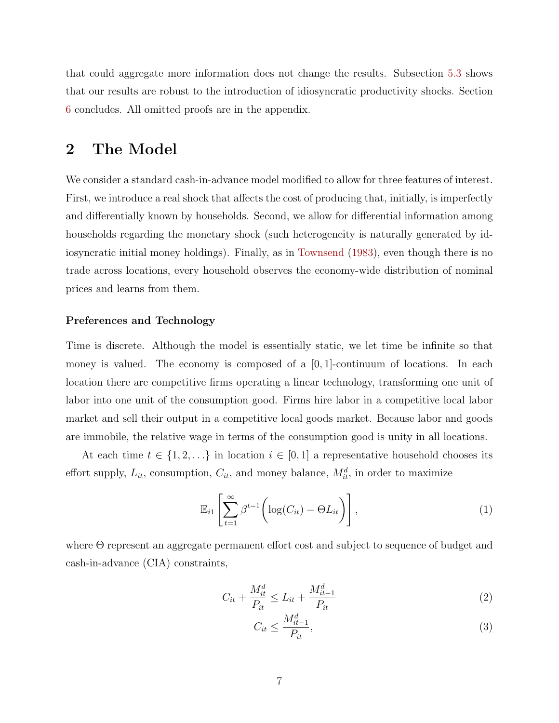<span id="page-7-3"></span>that could aggregate more information does not change the results. Subsection [5.3](#page-34-0) shows that our results are robust to the introduction of idiosyncratic productivity shocks. Section [6](#page-36-0) concludes. All omitted proofs are in the appendix.

# <span id="page-7-0"></span>2 The Model

We consider a standard cash-in-advance model modified to allow for three features of interest. First, we introduce a real shock that affects the cost of producing that, initially, is imperfectly and differentially known by households. Second, we allow for differential information among households regarding the monetary shock (such heterogeneity is naturally generated by idiosyncratic initial money holdings). Finally, as in [Townsend](#page-49-7) [\(1983\)](#page-49-7), even though there is no trade across locations, every household observes the economy-wide distribution of nominal prices and learns from them.

### Preferences and Technology

Time is discrete. Although the model is essentially static, we let time be infinite so that money is valued. The economy is composed of a  $[0, 1]$ -continuum of locations. In each location there are competitive firms operating a linear technology, transforming one unit of labor into one unit of the consumption good. Firms hire labor in a competitive local labor market and sell their output in a competitive local goods market. Because labor and goods are immobile, the relative wage in terms of the consumption good is unity in all locations.

At each time  $t \in \{1, 2, \ldots\}$  in location  $i \in [0, 1]$  a representative household chooses its effort supply,  $L_{it}$ , consumption,  $C_{it}$ , and money balance,  $M_{it}^d$ , in order to maximize

$$
\mathbb{E}_{i1}\left[\sum_{t=1}^{\infty} \beta^{t-1} \left(\log(C_{it}) - \Theta L_{it}\right)\right],\tag{1}
$$

where Θ represent an aggregate permanent effort cost and subject to sequence of budget and cash-in-advance (CIA) constraints,

$$
C_{it} + \frac{M_{it}^d}{P_{it}} \le L_{it} + \frac{M_{it-1}^d}{P_{it}} \tag{2}
$$

<span id="page-7-2"></span><span id="page-7-1"></span>
$$
C_{it} \le \frac{M_{it-1}^d}{P_{it}},\tag{3}
$$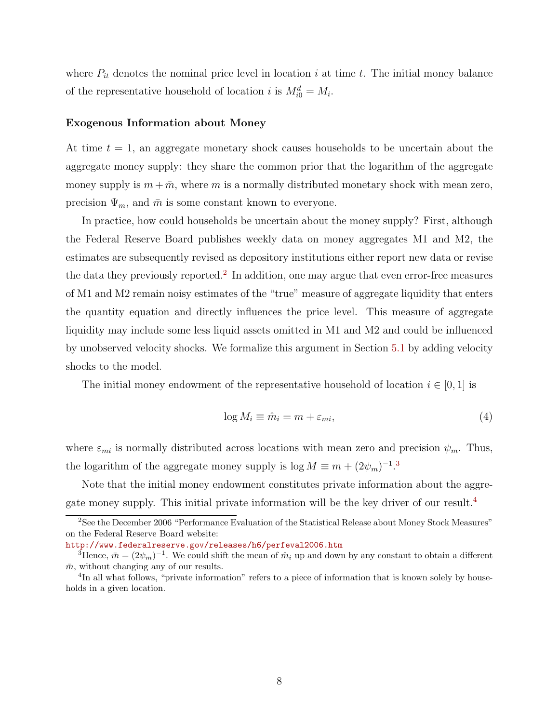where  $P_{it}$  denotes the nominal price level in location i at time t. The initial money balance of the representative household of location i is  $M_{i0}^d = M_i$ .

#### Exogenous Information about Money

At time  $t = 1$ , an aggregate monetary shock causes households to be uncertain about the aggregate money supply: they share the common prior that the logarithm of the aggregate money supply is  $m + \bar{m}$ , where m is a normally distributed monetary shock with mean zero, precision  $\Psi_m$ , and  $\bar{m}$  is some constant known to everyone.

In practice, how could households be uncertain about the money supply? First, although the Federal Reserve Board publishes weekly data on money aggregates M1 and M2, the estimates are subsequently revised as depository institutions either report new data or revise the data they previously reported.<sup>[2](#page-8-0)</sup> In addition, one may argue that even error-free measures of M1 and M2 remain noisy estimates of the "true" measure of aggregate liquidity that enters the quantity equation and directly influences the price level. This measure of aggregate liquidity may include some less liquid assets omitted in M1 and M2 and could be influenced by unobserved velocity shocks. We formalize this argument in Section [5.1](#page-29-0) by adding velocity shocks to the model.

The initial money endowment of the representative household of location  $i \in [0,1]$  is

$$
\log M_i \equiv \hat{m}_i = m + \varepsilon_{mi},\tag{4}
$$

where  $\varepsilon_{mi}$  is normally distributed across locations with mean zero and precision  $\psi_m$ . Thus, the logarithm of the aggregate money supply is  $\log M \equiv m + (2\psi_m)^{-1}$ .<sup>[3](#page-8-1)</sup>

Note that the initial money endowment constitutes private information about the aggregate money supply. This initial private information will be the key driver of our result.[4](#page-8-2)

<span id="page-8-0"></span><sup>&</sup>lt;sup>2</sup>See the December 2006 "Performance Evaluation of the Statistical Release about Money Stock Measures" on the Federal Reserve Board website:

<http://www.federalreserve.gov/releases/h6/perfeval2006.htm>

<span id="page-8-1"></span><sup>&</sup>lt;sup>3</sup>Hence,  $\bar{m} = (2\psi_m)^{-1}$ . We could shift the mean of  $\hat{m}_i$  up and down by any constant to obtain a different  $\bar{m}$ , without changing any of our results.

<span id="page-8-2"></span><sup>&</sup>lt;sup>4</sup>In all what follows, "private information" refers to a piece of information that is known solely by households in a given location.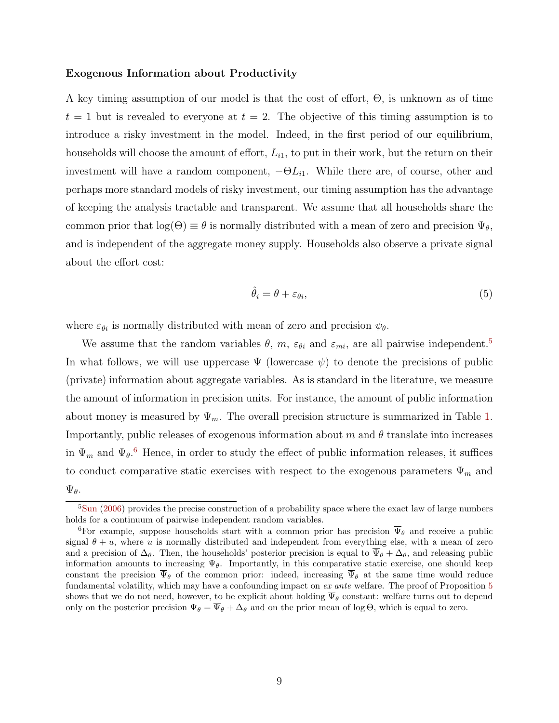#### <span id="page-9-2"></span>Exogenous Information about Productivity

A key timing assumption of our model is that the cost of effort, Θ, is unknown as of time  $t = 1$  but is revealed to everyone at  $t = 2$ . The objective of this timing assumption is to introduce a risky investment in the model. Indeed, in the first period of our equilibrium, households will choose the amount of effort,  $L_{i1}$ , to put in their work, but the return on their investment will have a random component,  $-\Theta L_{i1}$ . While there are, of course, other and perhaps more standard models of risky investment, our timing assumption has the advantage of keeping the analysis tractable and transparent. We assume that all households share the common prior that  $log(\Theta) \equiv \theta$  is normally distributed with a mean of zero and precision  $\Psi_{\theta}$ , and is independent of the aggregate money supply. Households also observe a private signal about the effort cost:

$$
\hat{\theta}_i = \theta + \varepsilon_{\theta i},\tag{5}
$$

where  $\varepsilon_{\theta i}$  is normally distributed with mean of zero and precision  $\psi_{\theta}$ .

We assume that the random variables  $\theta$ ,  $m$ ,  $\varepsilon_{\theta i}$  and  $\varepsilon_{mi}$ , are all pairwise independent.<sup>[5](#page-9-0)</sup> In what follows, we will use uppercase  $\Psi$  (lowercase  $\psi$ ) to denote the precisions of public (private) information about aggregate variables. As is standard in the literature, we measure the amount of information in precision units. For instance, the amount of public information about money is measured by  $\Psi_m$ . The overall precision structure is summarized in Table [1.](#page-10-0) Importantly, public releases of exogenous information about m and  $\theta$  translate into increases in  $\Psi_m$  and  $\Psi_{\theta}$ <sup>[6](#page-9-1)</sup>. Hence, in order to study the effect of public information releases, it suffices to conduct comparative static exercises with respect to the exogenous parameters  $\Psi_m$  and  $\Psi_{\theta}$ .

<span id="page-9-0"></span> $5\text{Sun}$  $5\text{Sun}$  $5\text{Sun}$  [\(2006\)](#page-49-8) provides the precise construction of a probability space where the exact law of large numbers holds for a continuum of pairwise independent random variables.

<span id="page-9-1"></span><sup>&</sup>lt;sup>6</sup>For example, suppose households start with a common prior has precision  $\overline{\Psi}_{\theta}$  and receive a public signal  $\theta + u$ , where u is normally distributed and independent from everything else, with a mean of zero and a precision of  $\Delta_{\theta}$ . Then, the households' posterior precision is equal to  $\overline{\Psi}_{\theta} + \Delta_{\theta}$ , and releasing public information amounts to increasing  $\Psi_{\theta}$ . Importantly, in this comparative static exercise, one should keep constant the precision  $\overline{\Psi}_{\theta}$  of the common prior: indeed, increasing  $\overline{\Psi}_{\theta}$  at the same time would reduce fundamental volatility, which may have a confounding impact on ex ante welfare. The proof of Proposition [5](#page-21-1) shows that we do not need, however, to be explicit about holding  $\overline{\Psi}_{\theta}$  constant: welfare turns out to depend only on the posterior precision  $\Psi_{\theta} = \overline{\Psi}_{\theta} + \Delta_{\theta}$  and on the prior mean of log  $\Theta$ , which is equal to zero.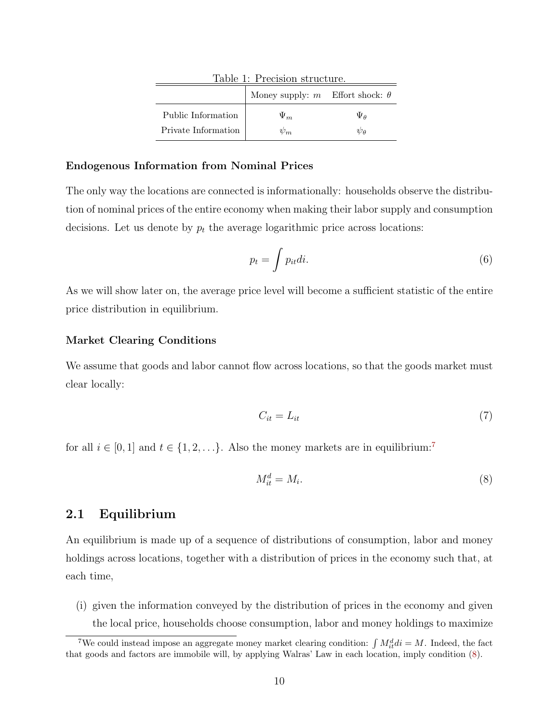<span id="page-10-0"></span>

| Table 1: Precision structure. |                                          |                 |
|-------------------------------|------------------------------------------|-----------------|
|                               | Money supply: $m$ Effort shock: $\theta$ |                 |
| Public Information            | $\Psi_m$                                 | $\Psi_{\theta}$ |
| Private Information           |                                          | Wө              |

### Endogenous Information from Nominal Prices

The only way the locations are connected is informationally: households observe the distribution of nominal prices of the entire economy when making their labor supply and consumption decisions. Let us denote by  $p_t$  the average logarithmic price across locations:

$$
p_t = \int p_{it} di. \tag{6}
$$

As we will show later on, the average price level will become a sufficient statistic of the entire price distribution in equilibrium.

### Market Clearing Conditions

We assume that goods and labor cannot flow across locations, so that the goods market must clear locally:

<span id="page-10-3"></span>
$$
C_{it} = L_{it} \tag{7}
$$

for all  $i \in [0, 1]$  and  $t \in \{1, 2, \ldots\}$ . Also the money markets are in equilibrium:<sup>[7](#page-10-1)</sup>

<span id="page-10-2"></span>
$$
M_{it}^d = M_i. \tag{8}
$$

## 2.1 Equilibrium

An equilibrium is made up of a sequence of distributions of consumption, labor and money holdings across locations, together with a distribution of prices in the economy such that, at each time,

(i) given the information conveyed by the distribution of prices in the economy and given the local price, households choose consumption, labor and money holdings to maximize

<span id="page-10-1"></span><sup>&</sup>lt;sup>7</sup>We could instead impose an aggregate money market clearing condition:  $\int M_{it}^{d} di = M$ . Indeed, the fact that goods and factors are immobile will, by applying Walras' Law in each location, imply condition [\(8\)](#page-10-2).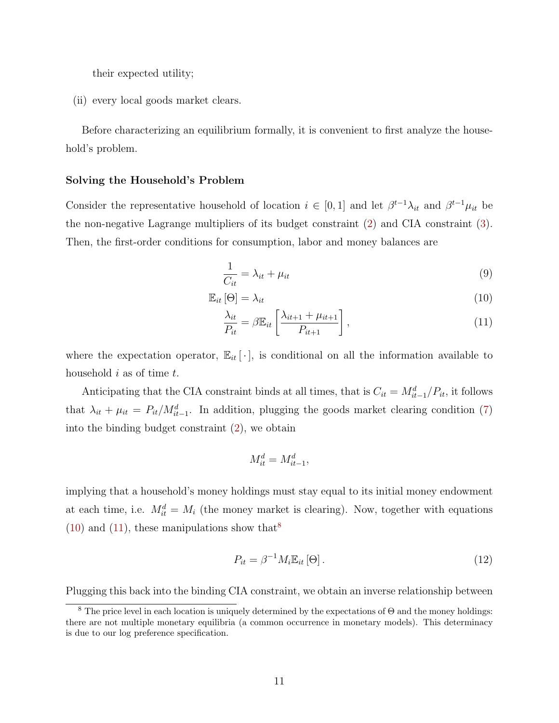their expected utility;

(ii) every local goods market clears.

Before characterizing an equilibrium formally, it is convenient to first analyze the household's problem.

#### Solving the Household's Problem

Consider the representative household of location  $i \in [0,1]$  and let  $\beta^{t-1}\lambda_{it}$  and  $\beta^{t-1}\mu_{it}$  be the non-negative Lagrange multipliers of its budget constraint [\(2\)](#page-7-1) and CIA constraint [\(3\)](#page-7-2). Then, the first-order conditions for consumption, labor and money balances are

<span id="page-11-3"></span><span id="page-11-0"></span>
$$
\frac{1}{C_{it}} = \lambda_{it} + \mu_{it} \tag{9}
$$

$$
\mathbb{E}_{it}[\Theta] = \lambda_{it} \tag{10}
$$

<span id="page-11-1"></span>
$$
\frac{\lambda_{it}}{P_{it}} = \beta \mathbb{E}_{it} \left[ \frac{\lambda_{it+1} + \mu_{it+1}}{P_{it+1}} \right],\tag{11}
$$

where the expectation operator,  $\mathbb{E}_{it}[\cdot]$ , is conditional on all the information available to household  $i$  as of time  $t$ .

Anticipating that the CIA constraint binds at all times, that is  $C_{it} = M_{it-1}^d/P_{it}$ , it follows that  $\lambda_{it} + \mu_{it} = P_{it}/M_{it-1}^d$ . In addition, plugging the goods market clearing condition [\(7\)](#page-10-3) into the binding budget constraint [\(2\)](#page-7-1), we obtain

$$
M_{it}^d = M_{it-1}^d,
$$

implying that a household's money holdings must stay equal to its initial money endowment at each time, i.e.  $M_{it}^d = M_i$  (the money market is clearing). Now, together with equations  $(10)$  and  $(11)$ , these manipulations show that<sup>[8](#page-11-2)</sup>

<span id="page-11-4"></span>
$$
P_{it} = \beta^{-1} M_i \mathbb{E}_{it} \left[ \Theta \right]. \tag{12}
$$

Plugging this back into the binding CIA constraint, we obtain an inverse relationship between

<span id="page-11-2"></span><sup>&</sup>lt;sup>8</sup> The price level in each location is uniquely determined by the expectations of  $\Theta$  and the money holdings: there are not multiple monetary equilibria (a common occurrence in monetary models). This determinacy is due to our log preference specification.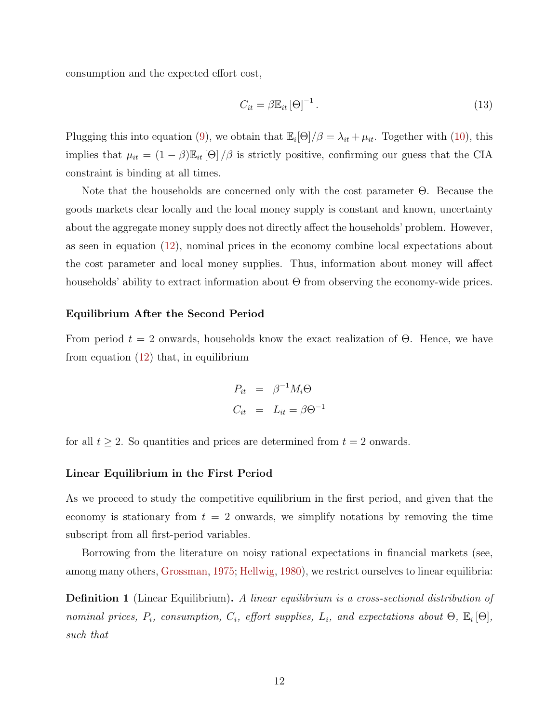<span id="page-12-1"></span>consumption and the expected effort cost,

$$
C_{it} = \beta \mathbb{E}_{it} \left[\Theta\right]^{-1}.
$$
\n(13)

Plugging this into equation [\(9\)](#page-11-3), we obtain that  $\mathbb{E}_{i}[\Theta]/\beta = \lambda_{it} + \mu_{it}$ . Together with [\(10\)](#page-11-0), this implies that  $\mu_{it} = (1 - \beta) \mathbb{E}_{it}[\Theta] / \beta$  is strictly positive, confirming our guess that the CIA constraint is binding at all times.

Note that the households are concerned only with the cost parameter Θ. Because the goods markets clear locally and the local money supply is constant and known, uncertainty about the aggregate money supply does not directly affect the households' problem. However, as seen in equation [\(12\)](#page-11-4), nominal prices in the economy combine local expectations about the cost parameter and local money supplies. Thus, information about money will affect households' ability to extract information about Θ from observing the economy-wide prices.

### Equilibrium After the Second Period

From period  $t = 2$  onwards, households know the exact realization of  $\Theta$ . Hence, we have from equation  $(12)$  that, in equilibrium

$$
P_{it} = \beta^{-1} M_i \Theta
$$
  

$$
C_{it} = L_{it} = \beta \Theta^{-1}
$$

for all  $t \geq 2$ . So quantities and prices are determined from  $t = 2$  onwards.

#### Linear Equilibrium in the First Period

As we proceed to study the competitive equilibrium in the first period, and given that the economy is stationary from  $t = 2$  onwards, we simplify notations by removing the time subscript from all first-period variables.

Borrowing from the literature on noisy rational expectations in financial markets (see, among many others, [Grossman,](#page-48-2) [1975;](#page-48-2) [Hellwig,](#page-49-1) [1980\)](#page-49-1), we restrict ourselves to linear equilibria:

<span id="page-12-0"></span>**Definition 1** (Linear Equilibrium). A linear equilibrium is a cross-sectional distribution of nominal prices,  $P_i$ , consumption,  $C_i$ , effort supplies,  $L_i$ , and expectations about  $\Theta$ ,  $\mathbb{E}_i[\Theta]$ , such that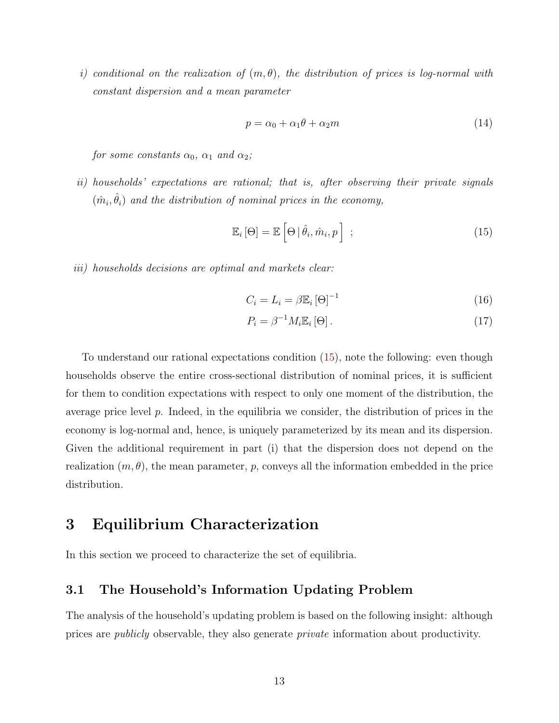i) conditional on the realization of  $(m, \theta)$ , the distribution of prices is log-normal with constant dispersion and a mean parameter

$$
p = \alpha_0 + \alpha_1 \theta + \alpha_2 m \tag{14}
$$

for some constants  $\alpha_0$ ,  $\alpha_1$  and  $\alpha_2$ ;

ii) households' expectations are rational; that is, after observing their private signals  $(\hat{m}_i, \hat{\theta}_i)$  and the distribution of nominal prices in the economy,

<span id="page-13-0"></span>
$$
\mathbb{E}_{i}[\Theta] = \mathbb{E}\left[\Theta \,|\, \hat{\theta}_{i}, \hat{m}_{i}, p\right] \tag{15}
$$

iii) households decisions are optimal and markets clear:

<span id="page-13-2"></span>
$$
C_i = L_i = \beta \mathbb{E}_i \left[ \Theta \right]^{-1} \tag{16}
$$

<span id="page-13-1"></span>
$$
P_i = \beta^{-1} M_i \mathbb{E}_i [\Theta]. \tag{17}
$$

To understand our rational expectations condition [\(15\)](#page-13-0), note the following: even though households observe the entire cross-sectional distribution of nominal prices, it is sufficient for them to condition expectations with respect to only one moment of the distribution, the average price level  $p$ . Indeed, in the equilibria we consider, the distribution of prices in the economy is log-normal and, hence, is uniquely parameterized by its mean and its dispersion. Given the additional requirement in part (i) that the dispersion does not depend on the realization  $(m, \theta)$ , the mean parameter, p, conveys all the information embedded in the price distribution.

# 3 Equilibrium Characterization

In this section we proceed to characterize the set of equilibria.

# 3.1 The Household's Information Updating Problem

The analysis of the household's updating problem is based on the following insight: although prices are publicly observable, they also generate private information about productivity.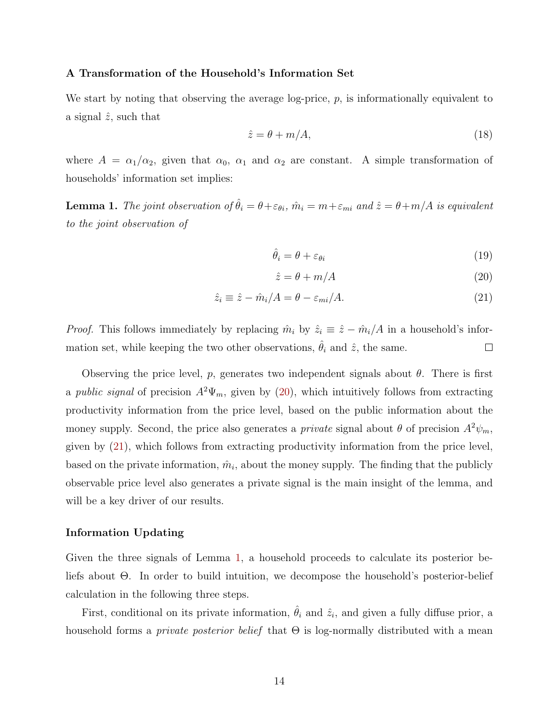#### A Transformation of the Household's Information Set

We start by noting that observing the average log-price,  $p$ , is informationally equivalent to a signal  $\hat{z}$ , such that

<span id="page-14-3"></span>
$$
\hat{z} = \theta + m/A,\tag{18}
$$

where  $A = \alpha_1/\alpha_2$ , given that  $\alpha_0$ ,  $\alpha_1$  and  $\alpha_2$  are constant. A simple transformation of households' information set implies:

<span id="page-14-2"></span>**Lemma 1.** The joint observation of  $\hat{\theta}_i = \theta + \varepsilon_{\theta i}$ ,  $\hat{m}_i = m + \varepsilon_{mi}$  and  $\hat{z} = \theta + m/A$  is equivalent to the joint observation of

$$
\hat{\theta}_i = \theta + \varepsilon_{\theta i} \tag{19}
$$

<span id="page-14-1"></span><span id="page-14-0"></span>
$$
\hat{z} = \theta + m/A \tag{20}
$$

$$
\hat{z}_i \equiv \hat{z} - \hat{m}_i/A = \theta - \varepsilon_{mi}/A. \tag{21}
$$

*Proof.* This follows immediately by replacing  $\hat{m}_i$  by  $\hat{z}_i \equiv \hat{z} - \hat{m}_i/A$  in a household's information set, while keeping the two other observations,  $\hat{\theta}_i$  and  $\hat{z}$ , the same.  $\Box$ 

Observing the price level, p, generates two independent signals about  $\theta$ . There is first a public signal of precision  $A^2\Psi_m$ , given by [\(20\)](#page-14-0), which intuitively follows from extracting productivity information from the price level, based on the public information about the money supply. Second, the price also generates a *private* signal about  $\theta$  of precision  $A^2\psi_m$ , given by [\(21\)](#page-14-1), which follows from extracting productivity information from the price level, based on the private information,  $\hat{m}_i$ , about the money supply. The finding that the publicly observable price level also generates a private signal is the main insight of the lemma, and will be a key driver of our results.

### Information Updating

Given the three signals of Lemma [1,](#page-14-2) a household proceeds to calculate its posterior beliefs about Θ. In order to build intuition, we decompose the household's posterior-belief calculation in the following three steps.

First, conditional on its private information,  $\hat{\theta}_i$  and  $\hat{z}_i$ , and given a fully diffuse prior, a household forms a *private posterior belief* that  $\Theta$  is log-normally distributed with a mean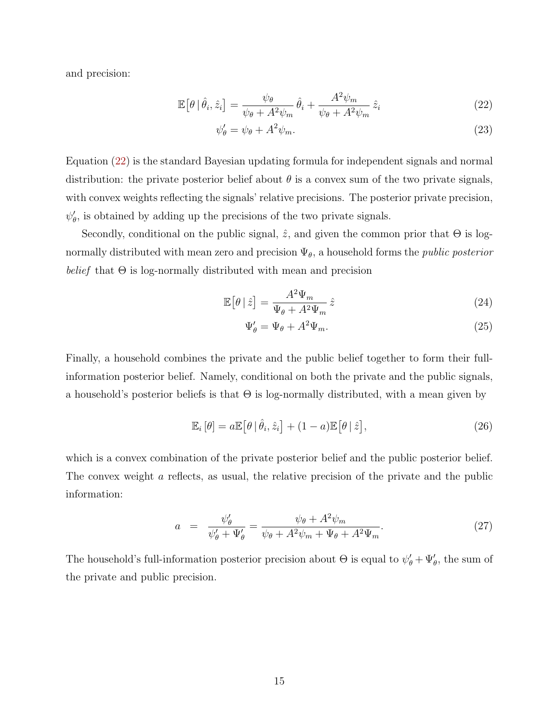and precision:

$$
\mathbb{E}\left[\theta \,|\, \hat{\theta}_i, \hat{z}_i\right] = \frac{\psi_\theta}{\psi_\theta + A^2 \psi_m} \,\hat{\theta}_i + \frac{A^2 \psi_m}{\psi_\theta + A^2 \psi_m} \,\hat{z}_i \tag{22}
$$

<span id="page-15-0"></span>
$$
\psi'_{\theta} = \psi_{\theta} + A^2 \psi_m. \tag{23}
$$

Equation [\(22\)](#page-15-0) is the standard Bayesian updating formula for independent signals and normal distribution: the private posterior belief about  $\theta$  is a convex sum of the two private signals, with convex weights reflecting the signals' relative precisions. The posterior private precision,  $\psi'_{\theta}$ , is obtained by adding up the precisions of the two private signals.

Secondly, conditional on the public signal,  $\hat{z}$ , and given the common prior that  $\Theta$  is lognormally distributed with mean zero and precision  $\Psi_{\theta}$ , a household forms the *public posterior* belief that  $\Theta$  is log-normally distributed with mean and precision

$$
\mathbb{E}\left[\theta \mid \hat{z}\right] = \frac{A^2 \Psi_m}{\Psi_\theta + A^2 \Psi_m} \hat{z}
$$
\n(24)

$$
\Psi'_{\theta} = \Psi_{\theta} + A^2 \Psi_m. \tag{25}
$$

Finally, a household combines the private and the public belief together to form their fullinformation posterior belief. Namely, conditional on both the private and the public signals, a household's posterior beliefs is that  $\Theta$  is log-normally distributed, with a mean given by

<span id="page-15-1"></span>
$$
\mathbb{E}_{i}[\theta] = a\mathbb{E}[\theta|\hat{\theta}_{i},\hat{z}_{i}] + (1-a)\mathbb{E}[\theta|\hat{z}], \qquad (26)
$$

which is a convex combination of the private posterior belief and the public posterior belief. The convex weight a reflects, as usual, the relative precision of the private and the public information:

<span id="page-15-2"></span>
$$
a = \frac{\psi_{\theta}'}{\psi_{\theta}'+\Psi_{\theta}'} = \frac{\psi_{\theta} + A^2 \psi_m}{\psi_{\theta} + A^2 \psi_m + \Psi_{\theta} + A^2 \Psi_m}.
$$
\n
$$
(27)
$$

The household's full-information posterior precision about  $\Theta$  is equal to  $\psi'_{\theta} + \Psi'_{\theta}$ , the sum of the private and public precision.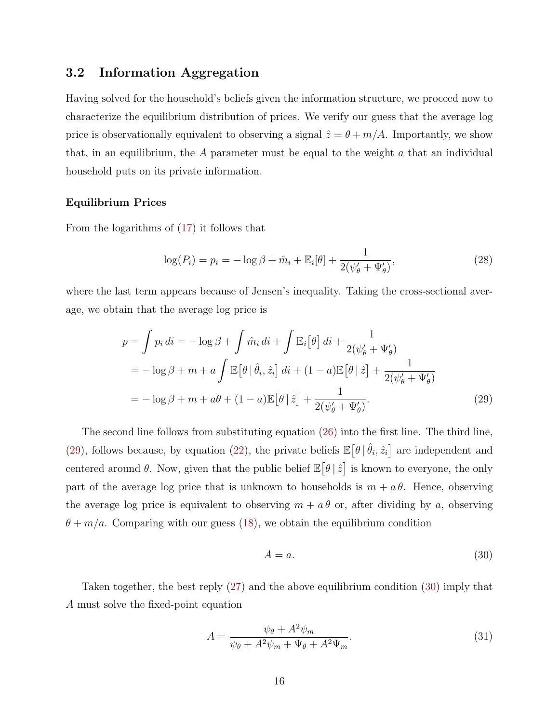# 3.2 Information Aggregation

Having solved for the household's beliefs given the information structure, we proceed now to characterize the equilibrium distribution of prices. We verify our guess that the average log price is observationally equivalent to observing a signal  $\hat{z} = \theta + m/A$ . Importantly, we show that, in an equilibrium, the  $A$  parameter must be equal to the weight  $a$  that an individual household puts on its private information.

### Equilibrium Prices

From the logarithms of [\(17\)](#page-13-1) it follows that

<span id="page-16-3"></span>
$$
\log(P_i) = p_i = -\log \beta + \hat{m}_i + \mathbb{E}_i[\theta] + \frac{1}{2(\psi_{\theta}^{\prime} + \Psi_{\theta}^{\prime})},\tag{28}
$$

where the last term appears because of Jensen's inequality. Taking the cross-sectional average, we obtain that the average log price is

$$
p = \int p_i \, di = -\log \beta + \int \hat{m}_i \, di + \int \mathbb{E}_i \left[ \theta \right] \, di + \frac{1}{2(\psi_\theta' + \Psi_\theta')}
$$
  
=  $-\log \beta + m + a \int \mathbb{E} \left[ \theta \mid \hat{\theta}_i, \hat{z}_i \right] \, di + (1 - a) \mathbb{E} \left[ \theta \mid \hat{z} \right] + \frac{1}{2(\psi_\theta' + \Psi_\theta')}$   
=  $-\log \beta + m + a\theta + (1 - a) \mathbb{E} \left[ \theta \mid \hat{z} \right] + \frac{1}{2(\psi_\theta' + \Psi_\theta')}.$  (29)

The second line follows from substituting equation [\(26\)](#page-15-1) into the first line. The third line, [\(29\)](#page-16-0), follows because, by equation [\(22\)](#page-15-0), the private beliefs  $\mathbb{E}[\theta | \hat{\theta}_i, \hat{z}_i]$  are independent and centered around  $\theta$ . Now, given that the public belief  $\mathbb{E}[\theta \,|\, \hat{z}]$  is known to everyone, the only part of the average log price that is unknown to households is  $m + a\theta$ . Hence, observing the average log price is equivalent to observing  $m + a\theta$  or, after dividing by a, observing  $\theta + m/a$ . Comparing with our guess [\(18\)](#page-14-3), we obtain the equilibrium condition

<span id="page-16-1"></span><span id="page-16-0"></span>
$$
A = a.\t\t(30)
$$

Taken together, the best reply [\(27\)](#page-15-2) and the above equilibrium condition [\(30\)](#page-16-1) imply that A must solve the fixed-point equation

<span id="page-16-2"></span>
$$
A = \frac{\psi_{\theta} + A^2 \psi_m}{\psi_{\theta} + A^2 \psi_m + \Psi_{\theta} + A^2 \Psi_m}.
$$
\n(31)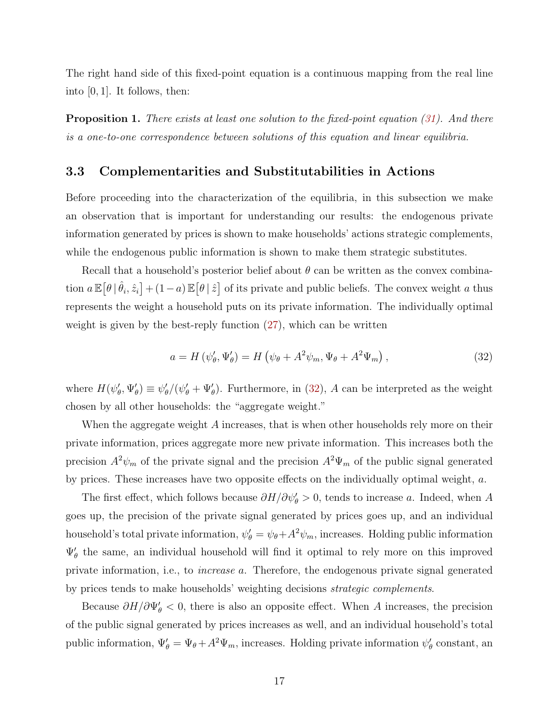The right hand side of this fixed-point equation is a continuous mapping from the real line into  $[0, 1]$ . It follows, then:

<span id="page-17-1"></span>**Proposition 1.** There exists at least one solution to the fixed-point equation  $(31)$ . And there is a one-to-one correspondence between solutions of this equation and linear equilibria.

# 3.3 Complementarities and Substitutabilities in Actions

Before proceeding into the characterization of the equilibria, in this subsection we make an observation that is important for understanding our results: the endogenous private information generated by prices is shown to make households' actions strategic complements, while the endogenous public information is shown to make them strategic substitutes.

Recall that a household's posterior belief about  $\theta$  can be written as the convex combination  $a \mathbb{E}[\theta | \hat{\theta}_i, \hat{z}_i] + (1-a) \mathbb{E}[\theta | \hat{z}]$  of its private and public beliefs. The convex weight a thus represents the weight a household puts on its private information. The individually optimal weight is given by the best-reply function  $(27)$ , which can be written

<span id="page-17-0"></span>
$$
a = H(\psi_{\theta}', \Psi_{\theta}') = H(\psi_{\theta} + A^2 \psi_m, \Psi_{\theta} + A^2 \Psi_m), \qquad (32)
$$

where  $H(\psi'_\theta, \Psi'_\theta) \equiv \psi'_\theta/(\psi'_\theta + \Psi'_\theta)$ . Furthermore, in [\(32\)](#page-17-0), A can be interpreted as the weight chosen by all other households: the "aggregate weight."

When the aggregate weight A increases, that is when other households rely more on their private information, prices aggregate more new private information. This increases both the precision  $A^2\psi_m$  of the private signal and the precision  $A^2\Psi_m$  of the public signal generated by prices. These increases have two opposite effects on the individually optimal weight, a.

The first effect, which follows because  $\partial H/\partial \psi_{\theta} > 0$ , tends to increase a. Indeed, when A goes up, the precision of the private signal generated by prices goes up, and an individual household's total private information,  $\psi'_{\theta} = \psi_{\theta} + A^2 \psi_m$ , increases. Holding public information  $\Psi'_{\theta}$  the same, an individual household will find it optimal to rely more on this improved private information, i.e., to increase a. Therefore, the endogenous private signal generated by prices tends to make households' weighting decisions strategic complements.

Because  $\partial H/\partial \Psi_{\theta}^{\prime} < 0$ , there is also an opposite effect. When A increases, the precision of the public signal generated by prices increases as well, and an individual household's total public information,  $\Psi'_{\theta} = \Psi_{\theta} + A^2 \Psi_m$ , increases. Holding private information  $\psi'_{\theta}$  constant, an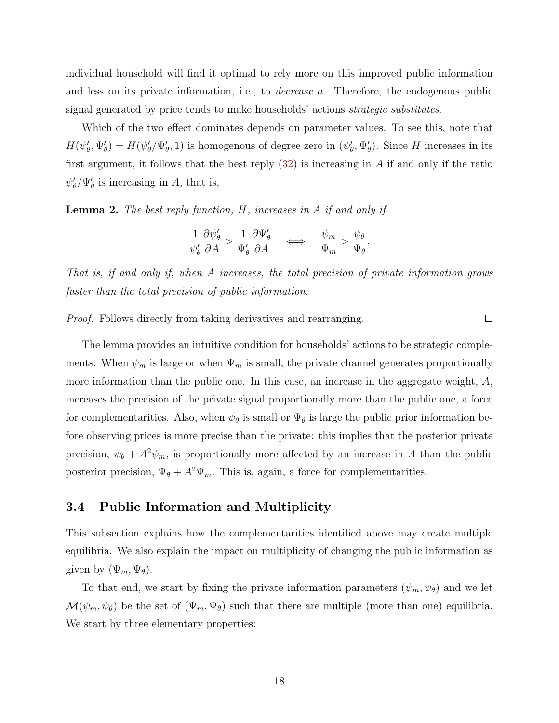individual household will find it optimal to rely more on this improved public information and less on its private information, i.e., to decrease a. Therefore, the endogenous public signal generated by price tends to make households' actions strategic substitutes.

Which of the two effect dominates depends on parameter values. To see this, note that  $H(\psi'_{\theta}, \Psi'_{\theta}) = H(\psi'_{\theta}, \Psi'_{\theta}, 1)$  is homogenous of degree zero in  $(\psi'_{\theta}, \Psi'_{\theta})$ . Since H increases in its first argument, it follows that the best reply  $(32)$  is increasing in A if and only if the ratio  $\psi_{\theta}'/\Psi_{\theta}'$  is increasing in A, that is,

**Lemma 2.** The best reply function,  $H$ , increases in  $A$  if and only if

$$
\frac{1}{\psi_{\theta}'} \frac{\partial \psi_{\theta}'}{\partial A} > \frac{1}{\Psi_{\theta}'} \frac{\partial \Psi_{\theta}'}{\partial A} \quad \iff \quad \frac{\psi_m}{\Psi_m} > \frac{\psi_{\theta}}{\Psi_{\theta}}.
$$

That is, if and only if, when A increases, the total precision of private information grows faster than the total precision of public information.

 $\Box$ 

Proof. Follows directly from taking derivatives and rearranging.

The lemma provides an intuitive condition for households' actions to be strategic complements. When  $\psi_m$  is large or when  $\Psi_m$  is small, the private channel generates proportionally more information than the public one. In this case, an increase in the aggregate weight, A, increases the precision of the private signal proportionally more than the public one, a force for complementarities. Also, when  $\psi_{\theta}$  is small or  $\Psi_{\theta}$  is large the public prior information before observing prices is more precise than the private: this implies that the posterior private precision,  $\psi_{\theta} + A^2 \psi_m$ , is proportionally more affected by an increase in A than the public posterior precision,  $\Psi_{\theta} + A^2 \Psi_m$ . This is, again, a force for complementarities.

## 3.4 Public Information and Multiplicity

This subsection explains how the complementarities identified above may create multiple equilibria. We also explain the impact on multiplicity of changing the public information as given by  $(\Psi_m, \Psi_\theta)$ .

<span id="page-18-0"></span>To that end, we start by fixing the private information parameters  $(\psi_m, \psi_{\theta})$  and we let  $\mathcal{M}(\psi_m, \psi_\theta)$  be the set of  $(\Psi_m, \Psi_\theta)$  such that there are multiple (more than one) equilibria. We start by three elementary properties: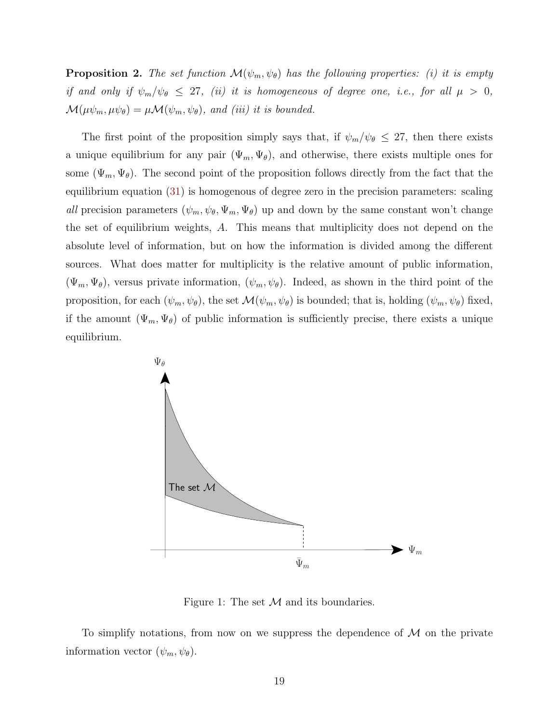**Proposition 2.** The set function  $\mathcal{M}(\psi_m, \psi_{\theta})$  has the following properties: (i) it is empty if and only if  $\psi_m/\psi_\theta \leq 27$ , (ii) it is homogeneous of degree one, i.e., for all  $\mu > 0$ ,  $\mathcal{M}(\mu\psi_m, \mu\psi_\theta) = \mu \mathcal{M}(\psi_m, \psi_\theta)$ , and (iii) it is bounded.

The first point of the proposition simply says that, if  $\psi_m/\psi_\theta \leq 27$ , then there exists a unique equilibrium for any pair  $(\Psi_m, \Psi_{\theta})$ , and otherwise, there exists multiple ones for some  $(\Psi_m, \Psi_\theta)$ . The second point of the proposition follows directly from the fact that the equilibrium equation [\(31\)](#page-16-2) is homogenous of degree zero in the precision parameters: scaling all precision parameters  $(\psi_m, \psi_\theta, \Psi_m, \Psi_\theta)$  up and down by the same constant won't change the set of equilibrium weights, A. This means that multiplicity does not depend on the absolute level of information, but on how the information is divided among the different sources. What does matter for multiplicity is the relative amount of public information,  $(\Psi_m, \Psi_{\theta})$ , versus private information,  $(\psi_m, \psi_{\theta})$ . Indeed, as shown in the third point of the proposition, for each  $(\psi_m, \psi_\theta)$ , the set  $\mathcal{M}(\psi_m, \psi_\theta)$  is bounded; that is, holding  $(\psi_m, \psi_\theta)$  fixed, if the amount  $(\Psi_m, \Psi_{\theta})$  of public information is sufficiently precise, there exists a unique equilibrium.



<span id="page-19-0"></span>Figure 1: The set  $\mathcal M$  and its boundaries.

<span id="page-19-1"></span>To simplify notations, from now on we suppress the dependence of  $\mathcal M$  on the private information vector  $(\psi_m, \psi_\theta)$ .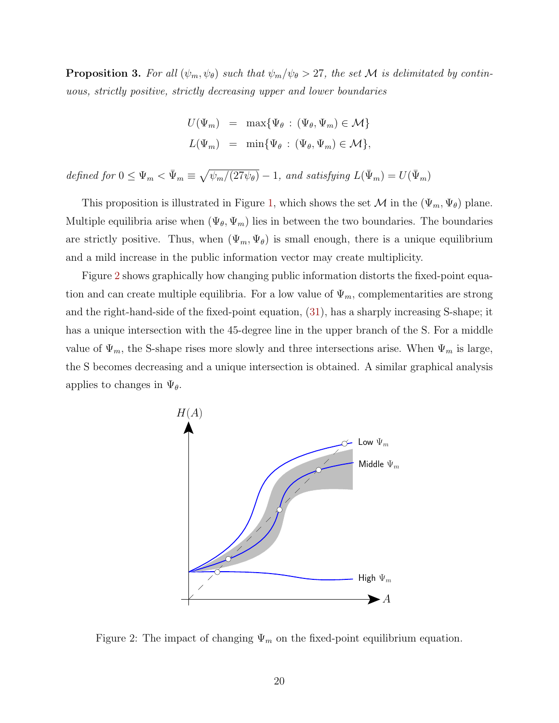**Proposition 3.** For all  $(\psi_m, \psi_{\theta})$  such that  $\psi_m/\psi_{\theta} > 27$ , the set M is delimitated by continuous, strictly positive, strictly decreasing upper and lower boundaries

$$
U(\Psi_m) = \max{\Psi_{\theta} : (\Psi_{\theta}, \Psi_m) \in \mathcal{M}}
$$
  

$$
L(\Psi_m) = \min{\Psi_{\theta} : (\Psi_{\theta}, \Psi_m) \in \mathcal{M}}
$$
,

defined for  $0 \leq \Psi_m < \bar{\Psi}_m \equiv \sqrt{\psi_m/(27\psi_\theta)} - 1$ , and satisfying  $L(\bar{\Psi}_m) = U(\bar{\Psi}_m)$ 

This proposition is illustrated in Figure [1,](#page-19-0) which shows the set  $\mathcal M$  in the  $(\Psi_m, \Psi_{\theta})$  plane. Multiple equilibria arise when  $(\Psi_{\theta}, \Psi_{m})$  lies in between the two boundaries. The boundaries are strictly positive. Thus, when  $(\Psi_m, \Psi_{\theta})$  is small enough, there is a unique equilibrium and a mild increase in the public information vector may create multiplicity.

Figure [2](#page-20-0) shows graphically how changing public information distorts the fixed-point equation and can create multiple equilibria. For a low value of  $\Psi_m$ , complementarities are strong and the right-hand-side of the fixed-point equation, [\(31\)](#page-16-2), has a sharply increasing S-shape; it has a unique intersection with the 45-degree line in the upper branch of the S. For a middle value of  $\Psi_m$ , the S-shape rises more slowly and three intersections arise. When  $\Psi_m$  is large, the S becomes decreasing and a unique intersection is obtained. A similar graphical analysis applies to changes in  $\Psi_{\theta}$ .



<span id="page-20-0"></span>Figure 2: The impact of changing  $\Psi_m$  on the fixed-point equilibrium equation.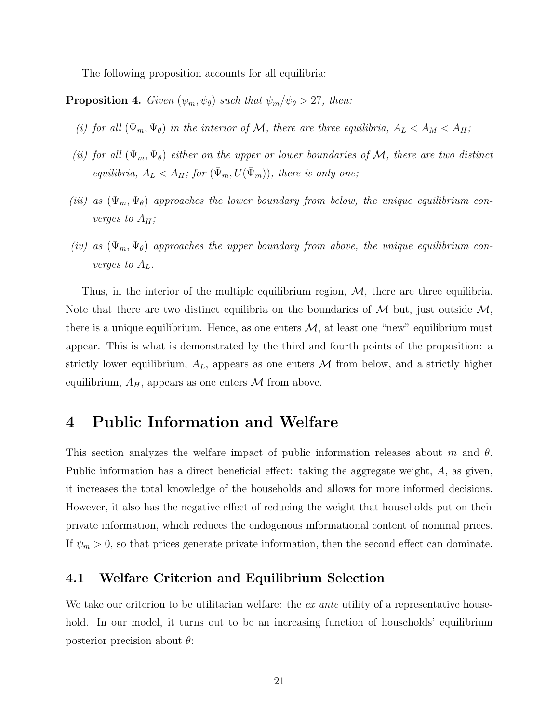<span id="page-21-2"></span>The following proposition accounts for all equilibria:

**Proposition 4.** Given  $(\psi_m, \psi_{\theta})$  such that  $\psi_m/\psi_{\theta} > 27$ , then:

- (i) for all  $(\Psi_m, \Psi_{\theta})$  in the interior of M, there are three equilibria,  $A_L < A_M < A_H$ ;
- (ii) for all  $(\Psi_m, \Psi_{\theta})$  either on the upper or lower boundaries of M, there are two distinct equilibria,  $A_L < A_H$ ; for  $(\bar{\Psi}_m, U(\bar{\Psi}_m))$ , there is only one;
- (iii) as  $(\Psi_m, \Psi_{\theta})$  approaches the lower boundary from below, the unique equilibrium converges to  $A_H$ ;
- (iv) as  $(\Psi_m, \Psi_{\theta})$  approaches the upper boundary from above, the unique equilibrium converges to  $A_L$ .

Thus, in the interior of the multiple equilibrium region,  $M$ , there are three equilibria. Note that there are two distinct equilibria on the boundaries of  $M$  but, just outside  $M$ , there is a unique equilibrium. Hence, as one enters  $M$ , at least one "new" equilibrium must appear. This is what is demonstrated by the third and fourth points of the proposition: a strictly lower equilibrium,  $A_L$ , appears as one enters M from below, and a strictly higher equilibrium,  $A_H$ , appears as one enters M from above.

# <span id="page-21-0"></span>4 Public Information and Welfare

This section analyzes the welfare impact of public information releases about m and  $\theta$ . Public information has a direct beneficial effect: taking the aggregate weight, A, as given, it increases the total knowledge of the households and allows for more informed decisions. However, it also has the negative effect of reducing the weight that households put on their private information, which reduces the endogenous informational content of nominal prices. If  $\psi_m > 0$ , so that prices generate private information, then the second effect can dominate.

## 4.1 Welfare Criterion and Equilibrium Selection

<span id="page-21-1"></span>We take our criterion to be utilitarian welfare: the  $ex$  ante utility of a representative household. In our model, it turns out to be an increasing function of households' equilibrium posterior precision about  $\theta$ :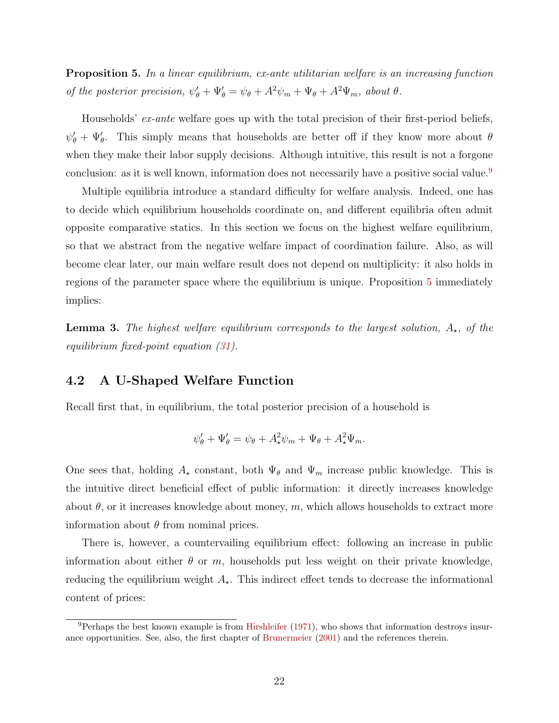<span id="page-22-2"></span>**Proposition 5.** In a linear equilibrium, ex-ante utilitarian welfare is an increasing function of the posterior precision,  $\psi_{\theta}^{\prime} + \Psi_{\theta}^{\prime} = \psi_{\theta} + A^2 \psi_m + \Psi_{\theta} + A^2 \Psi_m$ , about  $\theta$ .

Households' ex-ante welfare goes up with the total precision of their first-period beliefs,  $\psi'_{\theta} + \Psi'_{\theta}$ . This simply means that households are better off if they know more about  $\theta$ when they make their labor supply decisions. Although intuitive, this result is not a forgone conclusion: as it is well known, information does not necessarily have a positive social value.<sup>[9](#page-22-0)</sup>

Multiple equilibria introduce a standard difficulty for welfare analysis. Indeed, one has to decide which equilibrium households coordinate on, and different equilibria often admit opposite comparative statics. In this section we focus on the highest welfare equilibrium, so that we abstract from the negative welfare impact of coordination failure. Also, as will become clear later, our main welfare result does not depend on multiplicity: it also holds in regions of the parameter space where the equilibrium is unique. Proposition [5](#page-21-1) immediately implies:

**Lemma 3.** The highest welfare equilibrium corresponds to the largest solution,  $A_{\star}$ , of the equilibrium fixed-point equation [\(31\)](#page-16-2).

# 4.2 A U-Shaped Welfare Function

Recall first that, in equilibrium, the total posterior precision of a household is

$$
\psi'_{\theta} + \Psi'_{\theta} = \psi_{\theta} + A_{\star}^{2} \psi_{m} + \Psi_{\theta} + A_{\star}^{2} \Psi_{m}.
$$

One sees that, holding  $A_{\star}$  constant, both  $\Psi_{\theta}$  and  $\Psi_{m}$  increase public knowledge. This is the intuitive direct beneficial effect of public information: it directly increases knowledge about  $\theta$ , or it increases knowledge about money, m, which allows households to extract more information about  $\theta$  from nominal prices.

There is, however, a countervailing equilibrium effect: following an increase in public information about either  $\theta$  or m, households put less weight on their private knowledge, reducing the equilibrium weight  $A_{\star}$ . This indirect effect tends to decrease the informational content of prices:

<span id="page-22-1"></span><span id="page-22-0"></span> $9$ Perhaps the best known example is from [Hirshleifer](#page-49-9) [\(1971\)](#page-49-9), who shows that information destroys insurance opportunities. See, also, the first chapter of [Brunermeier](#page-48-7) [\(2001\)](#page-48-7) and the references therein.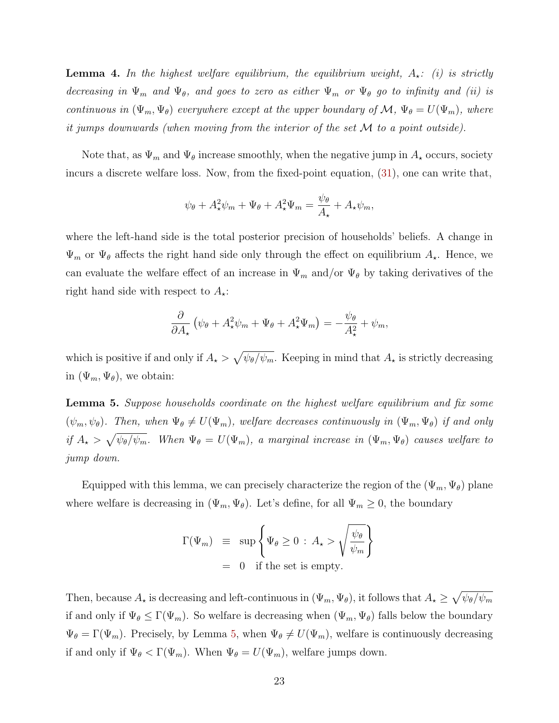**Lemma 4.** In the highest welfare equilibrium, the equilibrium weight,  $A_{\star}$ : (i) is strictly decreasing in  $\Psi_m$  and  $\Psi_\theta$ , and goes to zero as either  $\Psi_m$  or  $\Psi_\theta$  go to infinity and (ii) is continuous in  $(\Psi_m, \Psi_{\theta})$  everywhere except at the upper boundary of M,  $\Psi_{\theta} = U(\Psi_m)$ , where it jumps downwards (when moving from the interior of the set M to a point outside).

Note that, as  $\Psi_m$  and  $\Psi_\theta$  increase smoothly, when the negative jump in  $A_\star$  occurs, society incurs a discrete welfare loss. Now, from the fixed-point equation, [\(31\)](#page-16-2), one can write that,

$$
\psi_{\theta} + A_{\star}^{2} \psi_{m} + \Psi_{\theta} + A_{\star}^{2} \Psi_{m} = \frac{\psi_{\theta}}{A_{\star}} + A_{\star} \psi_{m},
$$

where the left-hand side is the total posterior precision of households' beliefs. A change in  $\Psi_m$  or  $\Psi_\theta$  affects the right hand side only through the effect on equilibrium  $A_{\star}$ . Hence, we can evaluate the welfare effect of an increase in  $\Psi_m$  and/or  $\Psi_{\theta}$  by taking derivatives of the right hand side with respect to  $A_{\star}$ :

$$
\frac{\partial}{\partial A_{\star}}\left(\psi_{\theta} + A_{\star}^2\psi_m + \Psi_{\theta} + A_{\star}^2\Psi_m\right) = -\frac{\psi_{\theta}}{A_{\star}^2} + \psi_m,
$$

which is positive if and only if  $A_{\star} > \sqrt{\psi_{\theta}/\psi_m}$ . Keeping in mind that  $A_{\star}$  is strictly decreasing in  $(\Psi_m, \Psi_{\theta})$ , we obtain:

<span id="page-23-0"></span>Lemma 5. Suppose households coordinate on the highest welfare equilibrium and fix some  $(\psi_m, \psi_\theta)$ . Then, when  $\Psi_\theta \neq U(\Psi_m)$ , welfare decreases continuously in  $(\Psi_m, \Psi_\theta)$  if and only if  $A_\star > \sqrt{\psi_\theta/\psi_m}$ . When  $\Psi_\theta = U(\Psi_m)$ , a marginal increase in  $(\Psi_m, \Psi_\theta)$  causes welfare to jump down.

Equipped with this lemma, we can precisely characterize the region of the  $(\Psi_m, \Psi_{\theta})$  plane where welfare is decreasing in  $(\Psi_m, \Psi_{\theta})$ . Let's define, for all  $\Psi_m \geq 0$ , the boundary

$$
\Gamma(\Psi_m) \equiv \sup \left\{ \Psi_{\theta} \ge 0 : A_{\star} > \sqrt{\frac{\psi_{\theta}}{\psi_m}} \right\}
$$
  
= 0 if the set is empty.

Then, because  $A_\star$  is decreasing and left-continuous in  $(\Psi_m, \Psi_\theta)$ , it follows that  $A_\star \geq \sqrt{\psi_\theta/\psi_m}$ if and only if  $\Psi_{\theta} \leq \Gamma(\Psi_m)$ . So welfare is decreasing when  $(\Psi_m, \Psi_{\theta})$  falls below the boundary  $\Psi_{\theta} = \Gamma(\Psi_m)$ . Precisely, by Lemma [5,](#page-23-0) when  $\Psi_{\theta} \neq U(\Psi_m)$ , welfare is continuously decreasing if and only if  $\Psi_{\theta} < \Gamma(\Psi_m)$ . When  $\Psi_{\theta} = U(\Psi_m)$ , welfare jumps down.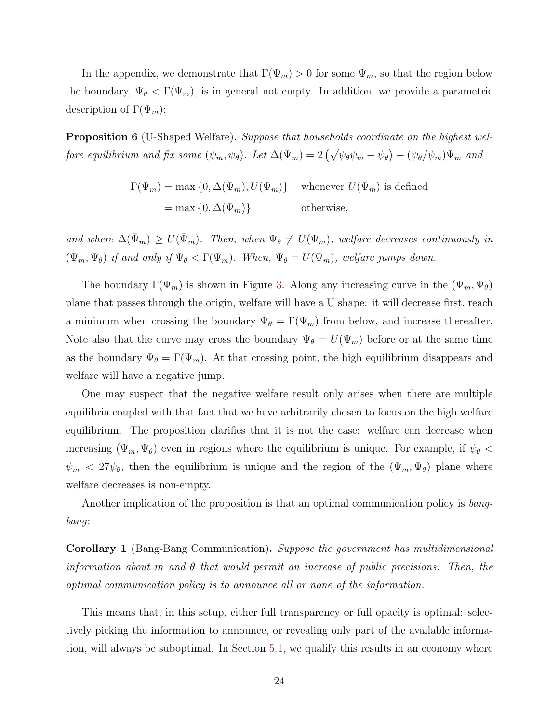In the appendix, we demonstrate that  $\Gamma(\Psi_m) > 0$  for some  $\Psi_m$ , so that the region below the boundary,  $\Psi_{\theta} < \Gamma(\Psi_m)$ , is in general not empty. In addition, we provide a parametric description of  $\Gamma(\Psi_m)$ :

<span id="page-24-0"></span>**Proposition 6** (U-Shaped Welfare). Suppose that households coordinate on the highest welfare equilibrium and fix some  $(\psi_m, \psi_\theta)$ . Let  $\Delta(\Psi_m) = 2(\sqrt{\psi_\theta \psi_m} - \psi_\theta) - (\psi_\theta/\psi_m)\Psi_m$  and

> $\Gamma(\Psi_m) = \max\{0, \Delta(\Psi_m), U(\Psi_m)\}\$  whenever  $U(\Psi_m)$  is defined  $=\max\{0,\Delta(\Psi_m)\}\$  otherwise,

and where  $\Delta(\bar{\Psi}_m) \geq U(\bar{\Psi}_m)$ . Then, when  $\Psi_{\theta} \neq U(\Psi_m)$ , welfare decreases continuously in  $(\Psi_m, \Psi_{\theta})$  if and only if  $\Psi_{\theta} < \Gamma(\Psi_m)$ . When,  $\Psi_{\theta} = U(\Psi_m)$ , welfare jumps down.

The boundary  $\Gamma(\Psi_m)$  is shown in Figure [3.](#page-25-0) Along any increasing curve in the  $(\Psi_m, \Psi_{\theta})$ plane that passes through the origin, welfare will have a U shape: it will decrease first, reach a minimum when crossing the boundary  $\Psi_{\theta} = \Gamma(\Psi_m)$  from below, and increase thereafter. Note also that the curve may cross the boundary  $\Psi_{\theta} = U(\Psi_m)$  before or at the same time as the boundary  $\Psi_{\theta} = \Gamma(\Psi_m)$ . At that crossing point, the high equilibrium disappears and welfare will have a negative jump.

One may suspect that the negative welfare result only arises when there are multiple equilibria coupled with that fact that we have arbitrarily chosen to focus on the high welfare equilibrium. The proposition clarifies that it is not the case: welfare can decrease when increasing  $(\Psi_m, \Psi_{\theta})$  even in regions where the equilibrium is unique. For example, if  $\psi_{\theta}$  <  $\psi_m < 27 \psi_{\theta}$ , then the equilibrium is unique and the region of the  $(\Psi_m, \Psi_{\theta})$  plane where welfare decreases is non-empty.

Another implication of the proposition is that an optimal communication policy is bangbang:

<span id="page-24-1"></span>Corollary 1 (Bang-Bang Communication). Suppose the government has multidimensional information about m and  $\theta$  that would permit an increase of public precisions. Then, the optimal communication policy is to announce all or none of the information.

This means that, in this setup, either full transparency or full opacity is optimal: selectively picking the information to announce, or revealing only part of the available information, will always be suboptimal. In Section [5.1,](#page-29-0) we qualify this results in an economy where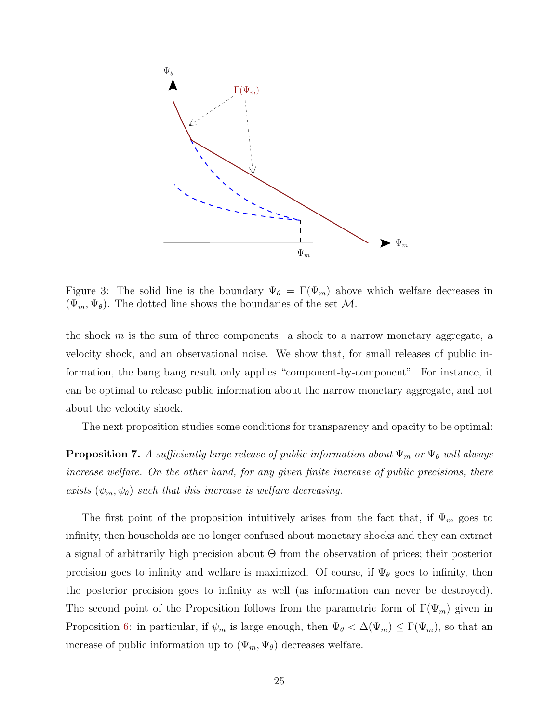

<span id="page-25-0"></span>Figure 3: The solid line is the boundary  $\Psi_{\theta} = \Gamma(\Psi_m)$  above which welfare decreases in  $(\Psi_m, \Psi_{\theta})$ . The dotted line shows the boundaries of the set M.

the shock  $m$  is the sum of three components: a shock to a narrow monetary aggregate, a velocity shock, and an observational noise. We show that, for small releases of public information, the bang bang result only applies "component-by-component". For instance, it can be optimal to release public information about the narrow monetary aggregate, and not about the velocity shock.

The next proposition studies some conditions for transparency and opacity to be optimal:

<span id="page-25-1"></span>**Proposition 7.** A sufficiently large release of public information about  $\Psi_m$  or  $\Psi_{\theta}$  will always increase welfare. On the other hand, for any given finite increase of public precisions, there exists  $(\psi_m, \psi_\theta)$  such that this increase is welfare decreasing.

The first point of the proposition intuitively arises from the fact that, if  $\Psi_m$  goes to infinity, then households are no longer confused about monetary shocks and they can extract a signal of arbitrarily high precision about Θ from the observation of prices; their posterior precision goes to infinity and welfare is maximized. Of course, if  $\Psi_{\theta}$  goes to infinity, then the posterior precision goes to infinity as well (as information can never be destroyed). The second point of the Proposition follows from the parametric form of  $\Gamma(\Psi_m)$  given in Proposition [6:](#page-24-0) in particular, if  $\psi_m$  is large enough, then  $\Psi_{\theta} < \Delta(\Psi_m) \leq \Gamma(\Psi_m)$ , so that an increase of public information up to  $(\Psi_m, \Psi_{\theta})$  decreases welfare.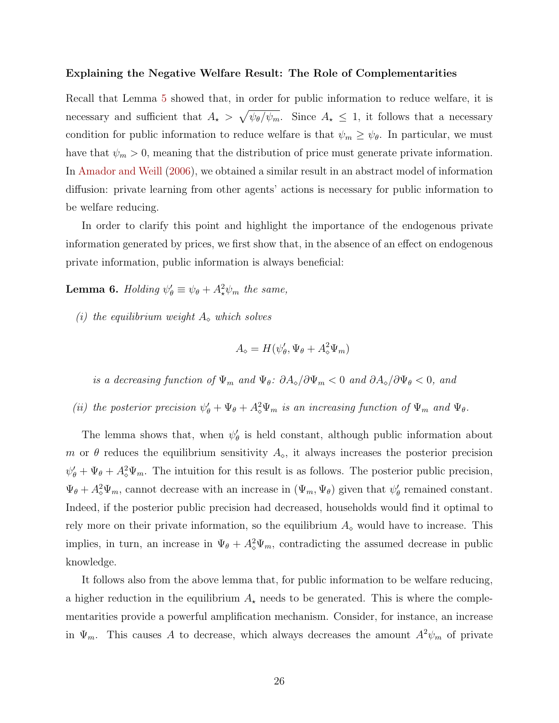#### <span id="page-26-0"></span>Explaining the Negative Welfare Result: The Role of Complementarities

Recall that Lemma [5](#page-23-0) showed that, in order for public information to reduce welfare, it is necessary and sufficient that  $A_{\star} > \sqrt{\psi_{\theta}/\psi_m}$ . Since  $A_{\star} \leq 1$ , it follows that a necessary condition for public information to reduce welfare is that  $\psi_m \geq \psi_{\theta}$ . In particular, we must have that  $\psi_m > 0$ , meaning that the distribution of price must generate private information. In [Amador and Weill](#page-48-1) [\(2006\)](#page-48-1), we obtained a similar result in an abstract model of information diffusion: private learning from other agents' actions is necessary for public information to be welfare reducing.

In order to clarify this point and highlight the importance of the endogenous private information generated by prices, we first show that, in the absence of an effect on endogenous private information, public information is always beneficial:

**Lemma 6.** Holding  $\psi_{\theta}' \equiv \psi_{\theta} + A_{\star}^2 \psi_m$  the same,

(i) the equilibrium weight  $A_{\infty}$  which solves

$$
A_{\diamond} = H(\psi_{\theta}', \Psi_{\theta} + A_{\diamond}^2 \Psi_m)
$$

is a decreasing function of  $\Psi_m$  and  $\Psi_{\theta}$ :  $\partial A_{\diamond}/\partial \Psi_m < 0$  and  $\partial A_{\diamond}/\partial \Psi_{\theta} < 0$ , and

(ii) the posterior precision  $\psi_{\theta}^{\prime} + \Psi_{\theta} + A_{\phi}^{2} \Psi_{m}$  is an increasing function of  $\Psi_{m}$  and  $\Psi_{\theta}$ .

The lemma shows that, when  $\psi'_{\theta}$  is held constant, although public information about m or  $\theta$  reduces the equilibrium sensitivity  $A_{\infty}$ , it always increases the posterior precision  $\psi_{\theta}^{\prime} + \Psi_{\theta} + A_{\phi}^{2} \Psi_{m}$ . The intuition for this result is as follows. The posterior public precision,  $\Psi_{\theta} + A_{\phi}^{2} \Psi_{m}$ , cannot decrease with an increase in  $(\Psi_{m}, \Psi_{\theta})$  given that  $\psi_{\theta}'$  remained constant. Indeed, if the posterior public precision had decreased, households would find it optimal to rely more on their private information, so the equilibrium  $A_{\infty}$  would have to increase. This implies, in turn, an increase in  $\Psi_{\theta} + A_{\phi}^{2} \Psi_{m}$ , contradicting the assumed decrease in public knowledge.

It follows also from the above lemma that, for public information to be welfare reducing, a higher reduction in the equilibrium  $A_{\star}$  needs to be generated. This is where the complementarities provide a powerful amplification mechanism. Consider, for instance, an increase in  $\Psi_m$ . This causes A to decrease, which always decreases the amount  $A^2\psi_m$  of private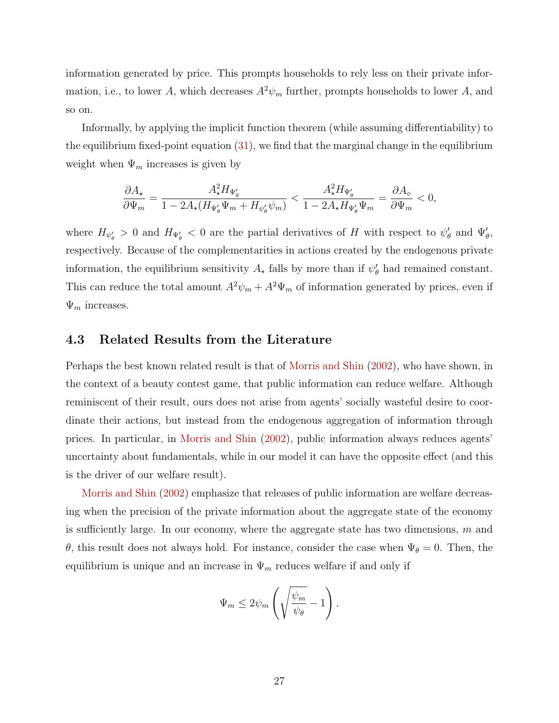<span id="page-27-0"></span>information generated by price. This prompts households to rely less on their private information, i.e., to lower A, which decreases  $A^2\psi_m$  further, prompts households to lower A, and so on.

Informally, by applying the implicit function theorem (while assuming differentiability) to the equilibrium fixed-point equation [\(31\)](#page-16-2), we find that the marginal change in the equilibrium weight when  $\Psi_m$  increases is given by

$$
\frac{\partial A_{\star}}{\partial \Psi_m} = \frac{A_{\star}^2 H_{\Psi'_\theta}}{1-2A_{\star}(H_{\Psi'_\theta}\Psi_m+H_{\psi'_\theta}\psi_m)} < \frac{A_{\star}^2 H_{\Psi'_\theta}}{1-2A_{\star}H_{\Psi'_\theta}\Psi_m} = \frac{\partial A_{\diamond}}{\partial \Psi_m} < 0,
$$

where  $H_{\psi_{\theta}} > 0$  and  $H_{\Psi_{\theta}} < 0$  are the partial derivatives of H with respect to  $\psi_{\theta}'$  and  $\Psi_{\theta}'$ , respectively. Because of the complementarities in actions created by the endogenous private information, the equilibrium sensitivity  $A_{\star}$  falls by more than if  $\psi'_{\theta}$  had remained constant. This can reduce the total amount  $A^2\psi_m + A^2\Psi_m$  of information generated by prices, even if  $\Psi_m$  increases.

### 4.3 Related Results from the Literature

Perhaps the best known related result is that of [Morris and Shin](#page-49-2) [\(2002\)](#page-49-2), who have shown, in the context of a beauty contest game, that public information can reduce welfare. Although reminiscent of their result, ours does not arise from agents' socially wasteful desire to coordinate their actions, but instead from the endogenous aggregation of information through prices. In particular, in [Morris and Shin](#page-49-2) [\(2002\)](#page-49-2), public information always reduces agents' uncertainty about fundamentals, while in our model it can have the opposite effect (and this is the driver of our welfare result).

[Morris and Shin](#page-49-2) [\(2002\)](#page-49-2) emphasize that releases of public information are welfare decreasing when the precision of the private information about the aggregate state of the economy is sufficiently large. In our economy, where the aggregate state has two dimensions,  $m$  and θ, this result does not always hold. For instance, consider the case when  $\Psi_{\theta} = 0$ . Then, the equilibrium is unique and an increase in  $\Psi_m$  reduces welfare if and only if

$$
\Psi_m \leq 2\psi_m \left( \sqrt{\frac{\psi_m}{\psi_\theta}} - 1 \right).
$$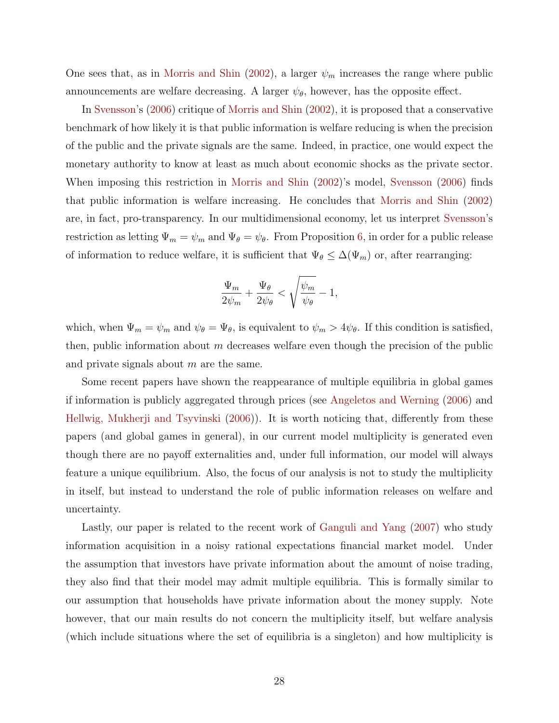<span id="page-28-0"></span>One sees that, as in [Morris and Shin](#page-49-2) [\(2002\)](#page-49-2), a larger  $\psi_m$  increases the range where public announcements are welfare decreasing. A larger  $\psi_{\theta}$ , however, has the opposite effect.

In [Svensson'](#page-49-10)s [\(2006\)](#page-49-10) critique of [Morris and Shin](#page-49-2) [\(2002\)](#page-49-2), it is proposed that a conservative benchmark of how likely it is that public information is welfare reducing is when the precision of the public and the private signals are the same. Indeed, in practice, one would expect the monetary authority to know at least as much about economic shocks as the private sector. When imposing this restriction in [Morris and Shin](#page-49-2) [\(2002\)](#page-49-2)'s model, [Svensson](#page-49-10) [\(2006\)](#page-49-10) finds that public information is welfare increasing. He concludes that [Morris and Shin](#page-49-2) [\(2002\)](#page-49-2) are, in fact, pro-transparency. In our multidimensional economy, let us interpret [Svensson'](#page-49-10)s restriction as letting  $\Psi_m = \psi_m$  and  $\Psi_\theta = \psi_\theta$ . From Proposition [6,](#page-24-0) in order for a public release of information to reduce welfare, it is sufficient that  $\Psi_{\theta} \leq \Delta(\Psi_m)$  or, after rearranging:

$$
\frac{\Psi_m}{2\psi_m}+\frac{\Psi_\theta}{2\psi_\theta}<\sqrt{\frac{\psi_m}{\psi_\theta}}-1,
$$

which, when  $\Psi_m = \psi_m$  and  $\psi_\theta = \Psi_\theta$ , is equivalent to  $\psi_m > 4\psi_\theta$ . If this condition is satisfied, then, public information about  $m$  decreases welfare even though the precision of the public and private signals about  $m$  are the same.

Some recent papers have shown the reappearance of multiple equilibria in global games if information is publicly aggregated through prices (see [Angeletos and Werning](#page-48-8) [\(2006\)](#page-48-8) and [Hellwig, Mukherji and Tsyvinski](#page-48-9) [\(2006\)](#page-48-9)). It is worth noticing that, differently from these papers (and global games in general), in our current model multiplicity is generated even though there are no payoff externalities and, under full information, our model will always feature a unique equilibrium. Also, the focus of our analysis is not to study the multiplicity in itself, but instead to understand the role of public information releases on welfare and uncertainty.

Lastly, our paper is related to the recent work of [Ganguli and Yang](#page-48-10) [\(2007\)](#page-48-10) who study information acquisition in a noisy rational expectations financial market model. Under the assumption that investors have private information about the amount of noise trading, they also find that their model may admit multiple equilibria. This is formally similar to our assumption that households have private information about the money supply. Note however, that our main results do not concern the multiplicity itself, but welfare analysis (which include situations where the set of equilibria is a singleton) and how multiplicity is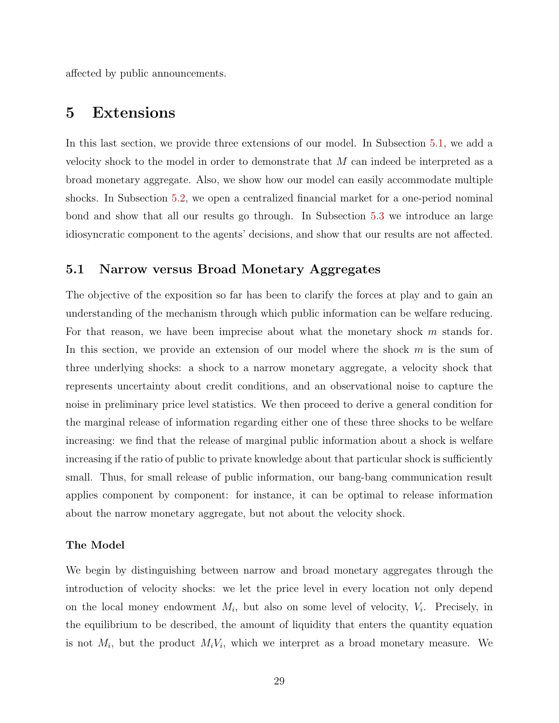affected by public announcements.

# <span id="page-29-1"></span>5 Extensions

In this last section, we provide three extensions of our model. In Subsection [5.1,](#page-29-0) we add a velocity shock to the model in order to demonstrate that M can indeed be interpreted as a broad monetary aggregate. Also, we show how our model can easily accommodate multiple shocks. In Subsection [5.2,](#page-33-0) we open a centralized financial market for a one-period nominal bond and show that all our results go through. In Subsection [5.3](#page-34-0) we introduce an large idiosyncratic component to the agents' decisions, and show that our results are not affected.

### <span id="page-29-0"></span>5.1 Narrow versus Broad Monetary Aggregates

The objective of the exposition so far has been to clarify the forces at play and to gain an understanding of the mechanism through which public information can be welfare reducing. For that reason, we have been imprecise about what the monetary shock m stands for. In this section, we provide an extension of our model where the shock  $m$  is the sum of three underlying shocks: a shock to a narrow monetary aggregate, a velocity shock that represents uncertainty about credit conditions, and an observational noise to capture the noise in preliminary price level statistics. We then proceed to derive a general condition for the marginal release of information regarding either one of these three shocks to be welfare increasing: we find that the release of marginal public information about a shock is welfare increasing if the ratio of public to private knowledge about that particular shock is sufficiently small. Thus, for small release of public information, our bang-bang communication result applies component by component: for instance, it can be optimal to release information about the narrow monetary aggregate, but not about the velocity shock.

### The Model

We begin by distinguishing between narrow and broad monetary aggregates through the introduction of velocity shocks: we let the price level in every location not only depend on the local money endowment  $M_i$ , but also on some level of velocity,  $V_i$ . Precisely, in the equilibrium to be described, the amount of liquidity that enters the quantity equation is not  $M_i$ , but the product  $M_i V_i$ , which we interpret as a broad monetary measure. We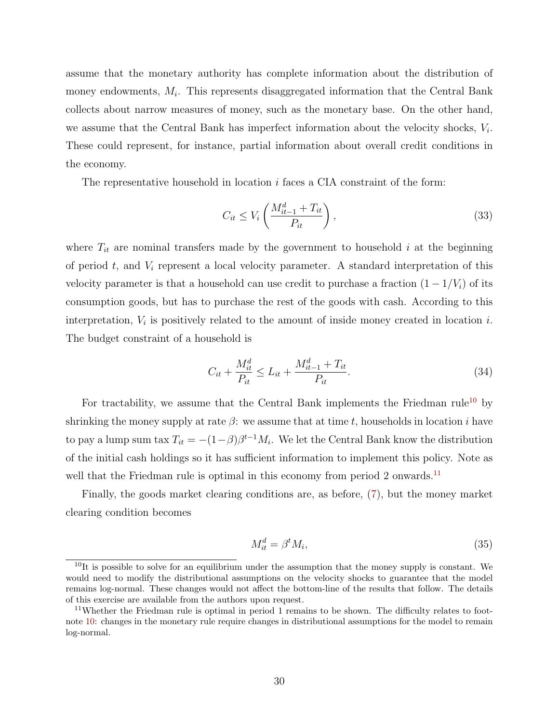assume that the monetary authority has complete information about the distribution of money endowments,  $M_i$ . This represents disaggregated information that the Central Bank collects about narrow measures of money, such as the monetary base. On the other hand, we assume that the Central Bank has imperfect information about the velocity shocks,  $V_i$ . These could represent, for instance, partial information about overall credit conditions in the economy.

The representative household in location  $i$  faces a CIA constraint of the form:

$$
C_{it} \le V_i \left( \frac{M_{it-1}^d + T_{it}}{P_{it}} \right),\tag{33}
$$

where  $T_{it}$  are nominal transfers made by the government to household i at the beginning of period  $t$ , and  $V_i$  represent a local velocity parameter. A standard interpretation of this velocity parameter is that a household can use credit to purchase a fraction  $(1 - 1/V_i)$  of its consumption goods, but has to purchase the rest of the goods with cash. According to this interpretation,  $V_i$  is positively related to the amount of inside money created in location i. The budget constraint of a household is

$$
C_{it} + \frac{M_{it}^d}{P_{it}} \le L_{it} + \frac{M_{it-1}^d + T_{it}}{P_{it}}.
$$
\n(34)

For tractability, we assume that the Central Bank implements the Friedman rule<sup>[10](#page-30-0)</sup> by shrinking the money supply at rate  $\beta$ : we assume that at time t, households in location i have to pay a lump sum tax  $T_{it} = -(1-\beta)\beta^{t-1}M_i$ . We let the Central Bank know the distribution of the initial cash holdings so it has sufficient information to implement this policy. Note as well that the Friedman rule is optimal in this economy from period 2 onwards.<sup>[11](#page-30-1)</sup>

Finally, the goods market clearing conditions are, as before, [\(7\)](#page-10-3), but the money market clearing condition becomes

$$
M_{it}^d = \beta^t M_i,\tag{35}
$$

<span id="page-30-0"></span> $10$ It is possible to solve for an equilibrium under the assumption that the money supply is constant. We would need to modify the distributional assumptions on the velocity shocks to guarantee that the model remains log-normal. These changes would not affect the bottom-line of the results that follow. The details of this exercise are available from the authors upon request.

<span id="page-30-1"></span><sup>&</sup>lt;sup>11</sup>Whether the Friedman rule is optimal in period 1 remains to be shown. The difficulty relates to footnote [10:](#page-30-0) changes in the monetary rule require changes in distributional assumptions for the model to remain log-normal.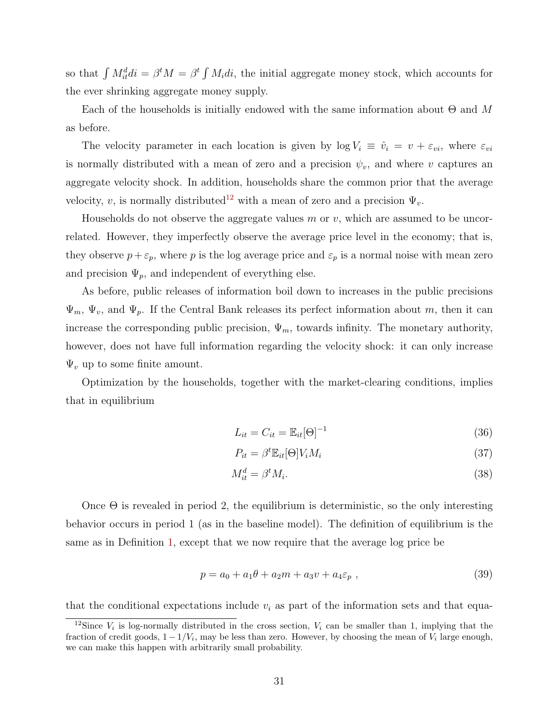so that  $\int M_{it}^d di = \beta^t M = \beta^t \int M_i di$ , the initial aggregate money stock, which accounts for the ever shrinking aggregate money supply.

Each of the households is initially endowed with the same information about  $\Theta$  and M as before.

The velocity parameter in each location is given by  $\log V_i \equiv \hat{v}_i = v + \varepsilon_{vi}$ , where  $\varepsilon_{vi}$ is normally distributed with a mean of zero and a precision  $\psi_v$ , and where v captures an aggregate velocity shock. In addition, households share the common prior that the average velocity, v, is normally distributed<sup>[12](#page-31-0)</sup> with a mean of zero and a precision  $\Psi_v$ .

Households do not observe the aggregate values  $m$  or  $v$ , which are assumed to be uncorrelated. However, they imperfectly observe the average price level in the economy; that is, they observe  $p + \varepsilon_p$ , where p is the log average price and  $\varepsilon_p$  is a normal noise with mean zero and precision  $\Psi_p$ , and independent of everything else.

As before, public releases of information boil down to increases in the public precisions  $\Psi_m$ ,  $\Psi_v$ , and  $\Psi_p$ . If the Central Bank releases its perfect information about m, then it can increase the corresponding public precision,  $\Psi_m$ , towards infinity. The monetary authority, however, does not have full information regarding the velocity shock: it can only increase  $\Psi_v$  up to some finite amount.

Optimization by the households, together with the market-clearing conditions, implies that in equilibrium

<span id="page-31-2"></span><span id="page-31-1"></span>
$$
L_{it} = C_{it} = \mathbb{E}_{it}[\Theta]^{-1} \tag{36}
$$

$$
P_{it} = \beta^t \mathbb{E}_{it}[\Theta] V_i M_i \tag{37}
$$

$$
M_{it}^d = \beta^t M_i. \tag{38}
$$

Once  $\Theta$  is revealed in period 2, the equilibrium is deterministic, so the only interesting behavior occurs in period 1 (as in the baseline model). The definition of equilibrium is the same as in Definition [1,](#page-12-0) except that we now require that the average log price be

$$
p = a_0 + a_1\theta + a_2m + a_3v + a_4\varepsilon_p , \qquad (39)
$$

that the conditional expectations include  $v_i$  as part of the information sets and that equa-

<span id="page-31-0"></span><sup>&</sup>lt;sup>12</sup>Since  $V_i$  is log-normally distributed in the cross section,  $V_i$  can be smaller than 1, implying that the fraction of credit goods,  $1 - 1/V_i$ , may be less than zero. However, by choosing the mean of  $V_i$  large enough, we can make this happen with arbitrarily small probability.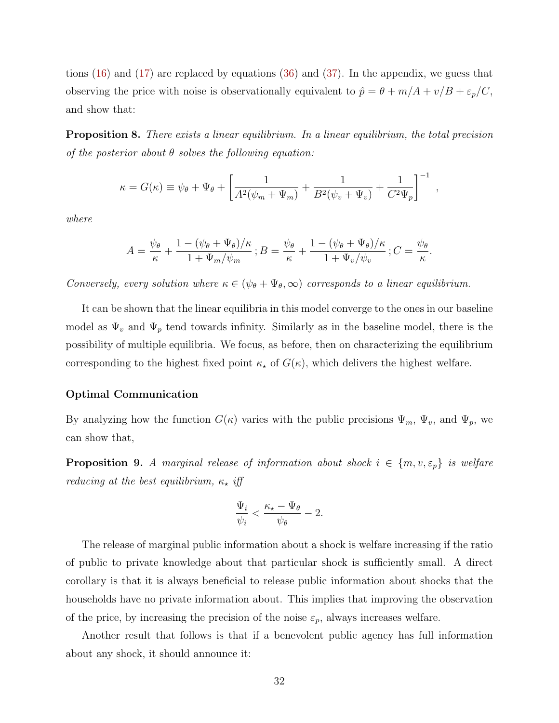tions [\(16\)](#page-13-2) and [\(17\)](#page-13-1) are replaced by equations [\(36\)](#page-31-1) and [\(37\)](#page-31-2). In the appendix, we guess that observing the price with noise is observationally equivalent to  $\hat{p} = \theta + m/A + v/B + \varepsilon_p/C$ , and show that:

<span id="page-32-1"></span>**Proposition 8.** There exists a linear equilibrium. In a linear equilibrium, the total precision of the posterior about  $\theta$  solves the following equation:

$$
\kappa = G(\kappa) \equiv \psi_{\theta} + \Psi_{\theta} + \left[ \frac{1}{A^2(\psi_m + \Psi_m)} + \frac{1}{B^2(\psi_v + \Psi_v)} + \frac{1}{C^2 \Psi_p} \right]^{-1},
$$

where

$$
A = \frac{\psi_{\theta}}{\kappa} + \frac{1 - (\psi_{\theta} + \Psi_{\theta})/\kappa}{1 + \Psi_m/\psi_m}; B = \frac{\psi_{\theta}}{\kappa} + \frac{1 - (\psi_{\theta} + \Psi_{\theta})/\kappa}{1 + \Psi_v/\psi_v}; C = \frac{\psi_{\theta}}{\kappa}.
$$

Conversely, every solution where  $\kappa \in (\psi_{\theta} + \Psi_{\theta}, \infty)$  corresponds to a linear equilibrium.

It can be shown that the linear equilibria in this model converge to the ones in our baseline model as  $\Psi_v$  and  $\Psi_p$  tend towards infinity. Similarly as in the baseline model, there is the possibility of multiple equilibria. We focus, as before, then on characterizing the equilibrium corresponding to the highest fixed point  $\kappa_{\star}$  of  $G(\kappa)$ , which delivers the highest welfare.

### Optimal Communication

By analyzing how the function  $G(\kappa)$  varies with the public precisions  $\Psi_m$ ,  $\Psi_v$ , and  $\Psi_p$ , we can show that,

<span id="page-32-0"></span>**Proposition 9.** A marginal release of information about shock  $i \in \{m, v, \varepsilon_p\}$  is welfare reducing at the best equilibrium,  $\kappa_{\star}$  iff

$$
\frac{\Psi_i}{\psi_i} < \frac{\kappa_\star - \Psi_\theta}{\psi_\theta} - 2.
$$

The release of marginal public information about a shock is welfare increasing if the ratio of public to private knowledge about that particular shock is sufficiently small. A direct corollary is that it is always beneficial to release public information about shocks that the households have no private information about. This implies that improving the observation of the price, by increasing the precision of the noise  $\varepsilon_p$ , always increases welfare.

<span id="page-32-2"></span>Another result that follows is that if a benevolent public agency has full information about any shock, it should announce it: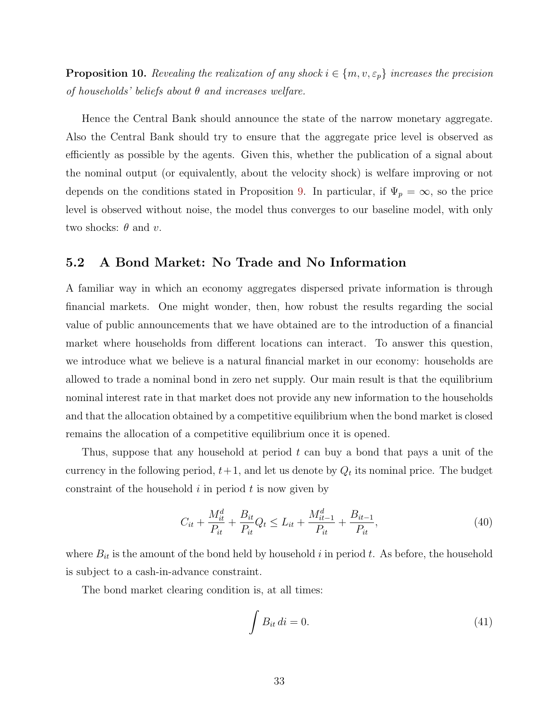**Proposition 10.** Revealing the realization of any shock  $i \in \{m, v, \varepsilon_p\}$  increases the precision of households' beliefs about  $\theta$  and increases welfare.

Hence the Central Bank should announce the state of the narrow monetary aggregate. Also the Central Bank should try to ensure that the aggregate price level is observed as efficiently as possible by the agents. Given this, whether the publication of a signal about the nominal output (or equivalently, about the velocity shock) is welfare improving or not depends on the conditions stated in Proposition [9.](#page-32-0) In particular, if  $\Psi_p = \infty$ , so the price level is observed without noise, the model thus converges to our baseline model, with only two shocks:  $\theta$  and  $v$ .

# <span id="page-33-0"></span>5.2 A Bond Market: No Trade and No Information

A familiar way in which an economy aggregates dispersed private information is through financial markets. One might wonder, then, how robust the results regarding the social value of public announcements that we have obtained are to the introduction of a financial market where households from different locations can interact. To answer this question, we introduce what we believe is a natural financial market in our economy: households are allowed to trade a nominal bond in zero net supply. Our main result is that the equilibrium nominal interest rate in that market does not provide any new information to the households and that the allocation obtained by a competitive equilibrium when the bond market is closed remains the allocation of a competitive equilibrium once it is opened.

Thus, suppose that any household at period t can buy a bond that pays a unit of the currency in the following period,  $t+1$ , and let us denote by  $Q_t$  its nominal price. The budget constraint of the household  $i$  in period  $t$  is now given by

$$
C_{it} + \frac{M_{it}^d}{P_{it}} + \frac{B_{it}}{P_{it}} Q_t \le L_{it} + \frac{M_{it-1}^d}{P_{it}} + \frac{B_{it-1}}{P_{it}},
$$
\n(40)

where  $B_{it}$  is the amount of the bond held by household i in period t. As before, the household is subject to a cash-in-advance constraint.

The bond market clearing condition is, at all times:

$$
\int B_{it} \, di = 0. \tag{41}
$$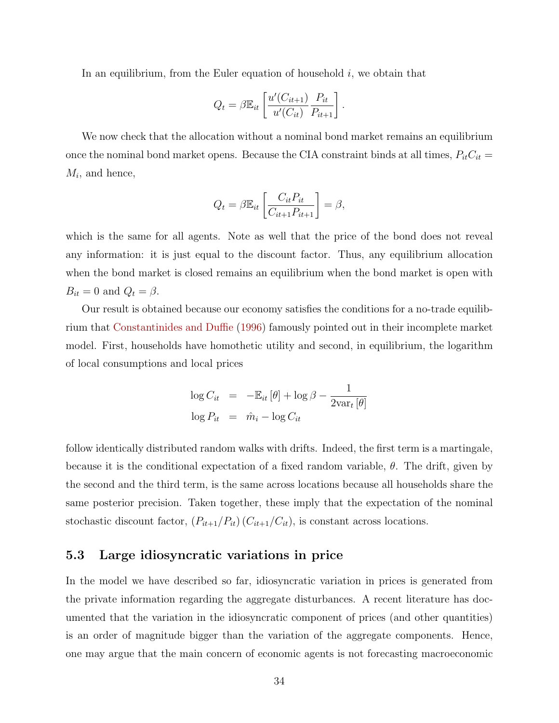<span id="page-34-1"></span>In an equilibrium, from the Euler equation of household  $i$ , we obtain that

$$
Q_t = \beta \mathbb{E}_{it} \left[ \frac{u'(C_{it+1})}{u'(C_{it})} \frac{P_{it}}{P_{it+1}} \right].
$$

We now check that the allocation without a nominal bond market remains an equilibrium once the nominal bond market opens. Because the CIA constraint binds at all times,  $P_{it}C_{it}$  =  $M_i$ , and hence,

$$
Q_t = \beta \mathbb{E}_{it} \left[ \frac{C_{it} P_{it}}{C_{it+1} P_{it+1}} \right] = \beta,
$$

which is the same for all agents. Note as well that the price of the bond does not reveal any information: it is just equal to the discount factor. Thus, any equilibrium allocation when the bond market is closed remains an equilibrium when the bond market is open with  $B_{it} = 0$  and  $Q_t = \beta$ .

Our result is obtained because our economy satisfies the conditions for a no-trade equilibrium that [Constantinides and Duffie](#page-48-11) [\(1996\)](#page-48-11) famously pointed out in their incomplete market model. First, households have homothetic utility and second, in equilibrium, the logarithm of local consumptions and local prices

$$
\log C_{it} = -\mathbb{E}_{it}[\theta] + \log \beta - \frac{1}{2 \text{var}_{t}[\theta]}
$$

$$
\log P_{it} = \hat{m}_{i} - \log C_{it}
$$

follow identically distributed random walks with drifts. Indeed, the first term is a martingale, because it is the conditional expectation of a fixed random variable,  $\theta$ . The drift, given by the second and the third term, is the same across locations because all households share the same posterior precision. Taken together, these imply that the expectation of the nominal stochastic discount factor,  $(P_{it+1}/P_{it})$   $(C_{it+1}/C_{it})$ , is constant across locations.

## <span id="page-34-0"></span>5.3 Large idiosyncratic variations in price

In the model we have described so far, idiosyncratic variation in prices is generated from the private information regarding the aggregate disturbances. A recent literature has documented that the variation in the idiosyncratic component of prices (and other quantities) is an order of magnitude bigger than the variation of the aggregate components. Hence, one may argue that the main concern of economic agents is not forecasting macroeconomic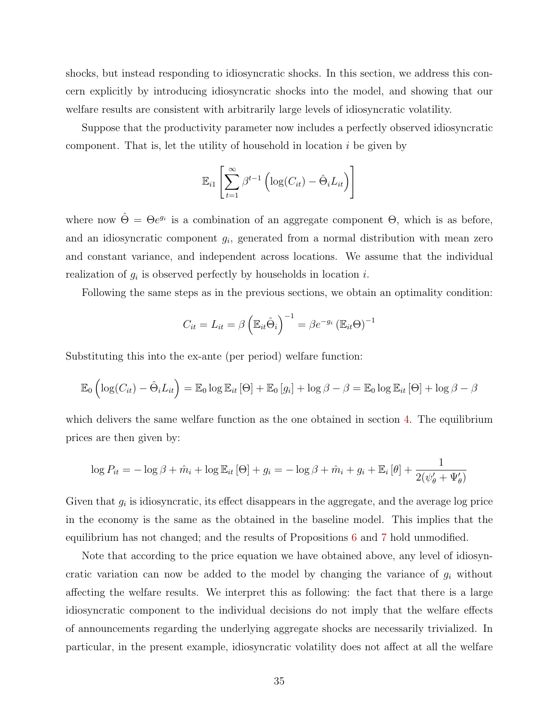shocks, but instead responding to idiosyncratic shocks. In this section, we address this concern explicitly by introducing idiosyncratic shocks into the model, and showing that our welfare results are consistent with arbitrarily large levels of idiosyncratic volatility.

Suppose that the productivity parameter now includes a perfectly observed idiosyncratic component. That is, let the utility of household in location  $i$  be given by

$$
\mathbb{E}_{i1}\left[\sum_{t=1}^{\infty} \beta^{t-1} \left(\log(C_{it}) - \hat{\Theta}_{i} L_{it}\right)\right]
$$

where now  $\hat{\Theta} = \Theta e^{g_i}$  is a combination of an aggregate component  $\Theta$ , which is as before, and an idiosyncratic component  $g_i$ , generated from a normal distribution with mean zero and constant variance, and independent across locations. We assume that the individual realization of  $g_i$  is observed perfectly by households in location i.

Following the same steps as in the previous sections, we obtain an optimality condition:

$$
C_{it} = L_{it} = \beta \left( \mathbb{E}_{it} \hat{\Theta}_i \right)^{-1} = \beta e^{-g_i} \left( \mathbb{E}_{it} \Theta \right)^{-1}
$$

Substituting this into the ex-ante (per period) welfare function:

$$
\mathbb{E}_0\left(\log(C_{it}) - \hat{\Theta}_i L_{it}\right) = \mathbb{E}_0 \log \mathbb{E}_{it} \left[\Theta\right] + \mathbb{E}_0 \left[g_i\right] + \log \beta - \beta = \mathbb{E}_0 \log \mathbb{E}_{it} \left[\Theta\right] + \log \beta - \beta
$$

which delivers the same welfare function as the one obtained in section [4.](#page-21-0) The equilibrium prices are then given by:

$$
\log P_{it} = -\log \beta + \hat{m}_i + \log \mathbb{E}_{it} [\Theta] + g_i = -\log \beta + \hat{m}_i + g_i + \mathbb{E}_i [\theta] + \frac{1}{2(\psi_{\theta}^{\prime} + \Psi_{\theta}^{\prime})}
$$

Given that  $g_i$  is idiosyncratic, its effect disappears in the aggregate, and the average log price in the economy is the same as the obtained in the baseline model. This implies that the equilibrium has not changed; and the results of Propositions [6](#page-24-0) and [7](#page-25-1) hold unmodified.

Note that according to the price equation we have obtained above, any level of idiosyncratic variation can now be added to the model by changing the variance of  $g_i$  without affecting the welfare results. We interpret this as following: the fact that there is a large idiosyncratic component to the individual decisions do not imply that the welfare effects of announcements regarding the underlying aggregate shocks are necessarily trivialized. In particular, in the present example, idiosyncratic volatility does not affect at all the welfare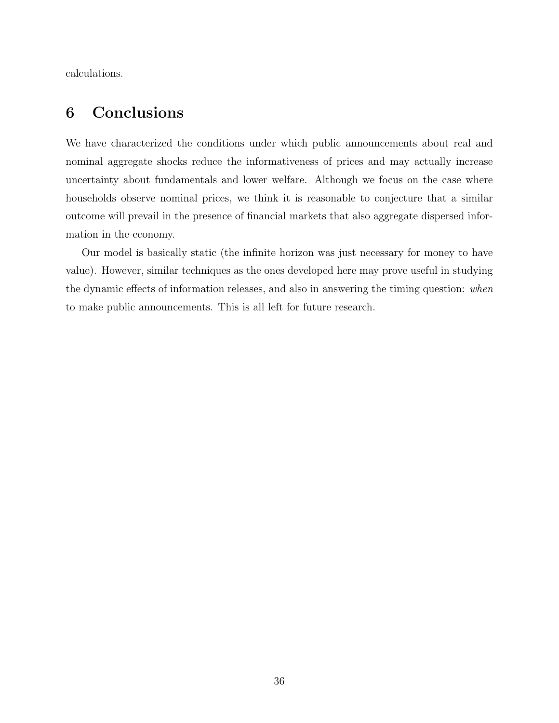calculations.

# <span id="page-36-0"></span>6 Conclusions

We have characterized the conditions under which public announcements about real and nominal aggregate shocks reduce the informativeness of prices and may actually increase uncertainty about fundamentals and lower welfare. Although we focus on the case where households observe nominal prices, we think it is reasonable to conjecture that a similar outcome will prevail in the presence of financial markets that also aggregate dispersed information in the economy.

Our model is basically static (the infinite horizon was just necessary for money to have value). However, similar techniques as the ones developed here may prove useful in studying the dynamic effects of information releases, and also in answering the timing question: when to make public announcements. This is all left for future research.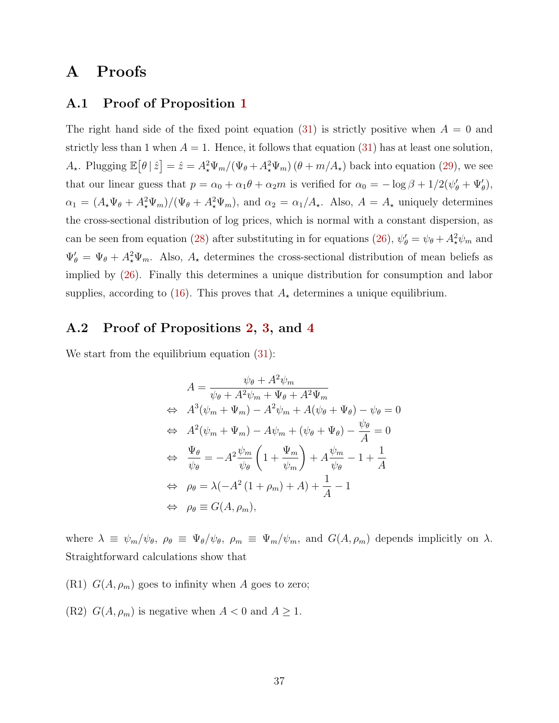# A Proofs

# A.1 Proof of Proposition [1](#page-17-1)

The right hand side of the fixed point equation [\(31\)](#page-16-2) is strictly positive when  $A = 0$  and strictly less than 1 when  $A = 1$ . Hence, it follows that equation [\(31\)](#page-16-2) has at least one solution,  $A_{\star}$ . Plugging  $\mathbb{E}[\theta|\hat{z}] = \hat{z} = A_{\star}^{2} \Psi_{m}/(\Psi_{\theta} + A_{\star}^{2} \Psi_{m}) (\theta + m/A_{\star})$  back into equation [\(29\)](#page-16-0), we see that our linear guess that  $p = \alpha_0 + \alpha_1 \theta + \alpha_2 m$  is verified for  $\alpha_0 = -\log \beta + 1/2(\psi_\theta' + \Psi_\theta'),$  $\alpha_1 = (A_{\star}\Psi_{\theta} + A_{\star}^2\Psi_m)/(\Psi_{\theta} + A_{\star}^2\Psi_m)$ , and  $\alpha_2 = \alpha_1/A_{\star}$ . Also,  $A = A_{\star}$  uniquely determines the cross-sectional distribution of log prices, which is normal with a constant dispersion, as can be seen from equation [\(28\)](#page-16-3) after substituting in for equations [\(26\)](#page-15-1),  $\psi'_{\theta} = \psi_{\theta} + A_{\star}^{2} \psi_{m}$  and  $\Psi'_{\theta} = \Psi_{\theta} + A_{\star}^{2} \Psi_{m}$ . Also,  $A_{\star}$  determines the cross-sectional distribution of mean beliefs as implied by [\(26\)](#page-15-1). Finally this determines a unique distribution for consumption and labor supplies, according to [\(16\)](#page-13-2). This proves that  $A_{\star}$  determines a unique equilibrium.

# <span id="page-37-0"></span>A.2 Proof of Propositions [2,](#page-18-0) [3,](#page-19-1) and [4](#page-21-2)

We start from the equilibrium equation  $(31)$ :

$$
A = \frac{\psi_{\theta} + A^2 \psi_m}{\psi_{\theta} + A^2 \psi_m + \Psi_{\theta} + A^2 \Psi_m}
$$
  
\n
$$
\Leftrightarrow A^3(\psi_m + \Psi_m) - A^2 \psi_m + A(\psi_{\theta} + \Psi_{\theta}) - \psi_{\theta} = 0
$$
  
\n
$$
\Leftrightarrow A^2(\psi_m + \Psi_m) - A\psi_m + (\psi_{\theta} + \Psi_{\theta}) - \frac{\psi_{\theta}}{A} = 0
$$
  
\n
$$
\Leftrightarrow \frac{\Psi_{\theta}}{\psi_{\theta}} = -A^2 \frac{\psi_m}{\psi_{\theta}} \left( 1 + \frac{\Psi_m}{\psi_m} \right) + A \frac{\psi_m}{\psi_{\theta}} - 1 + \frac{1}{A}
$$
  
\n
$$
\Leftrightarrow \rho_{\theta} = \lambda(-A^2 (1 + \rho_m) + A) + \frac{1}{A} - 1
$$
  
\n
$$
\Leftrightarrow \rho_{\theta} \equiv G(A, \rho_m),
$$

where  $\lambda \equiv \psi_m/\psi_\theta$ ,  $\rho_\theta \equiv \Psi_\theta/\psi_\theta$ ,  $\rho_m \equiv \Psi_m/\psi_m$ , and  $G(A, \rho_m)$  depends implicitly on  $\lambda$ . Straightforward calculations show that

(R1)  $G(A, \rho_m)$  goes to infinity when A goes to zero;

(R2)  $G(A, \rho_m)$  is negative when  $A < 0$  and  $A \geq 1$ .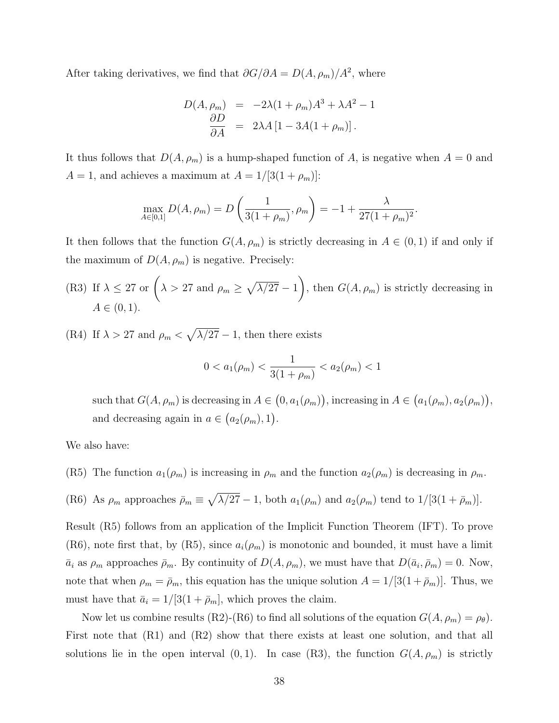After taking derivatives, we find that  $\partial G/\partial A = D(A, \rho_m)/A^2$ , where

$$
D(A, \rho_m) = -2\lambda(1 + \rho_m)A^3 + \lambda A^2 - 1
$$
  
\n
$$
\frac{\partial D}{\partial A} = 2\lambda A [1 - 3A(1 + \rho_m)].
$$

It thus follows that  $D(A, \rho_m)$  is a hump-shaped function of A, is negative when  $A = 0$  and  $A = 1$ , and achieves a maximum at  $A = 1/[3(1 + \rho_m)]$ :

$$
\max_{A \in [0,1]} D(A, \rho_m) = D\left(\frac{1}{3(1+\rho_m)}, \rho_m\right) = -1 + \frac{\lambda}{27(1+\rho_m)^2}.
$$

It then follows that the function  $G(A, \rho_m)$  is strictly decreasing in  $A \in (0, 1)$  if and only if the maximum of  $D(A, \rho_m)$  is negative. Precisely:

(R3) If 
$$
\lambda \leq 27
$$
 or  $(\lambda > 27$  and  $\rho_m \geq \sqrt{\lambda/27} - 1$ , then  $G(A, \rho_m)$  is strictly decreasing in  $A \in (0, 1)$ .

(R4) If  $\lambda > 27$  and  $\rho_m < \sqrt{\lambda/27} - 1$ , then there exists

$$
0 < a_1(\rho_m) < \frac{1}{3(1+\rho_m)} < a_2(\rho_m) < 1
$$

such that  $G(A, \rho_m)$  is decreasing in  $A \in (0, a_1(\rho_m))$ , increasing in  $A \in (a_1(\rho_m), a_2(\rho_m))$ , and decreasing again in  $a \in (a_2(\rho_m), 1)$ .

We also have:

(R5) The function  $a_1(\rho_m)$  is increasing in  $\rho_m$  and the function  $a_2(\rho_m)$  is decreasing in  $\rho_m$ .

(R6) As 
$$
\rho_m
$$
 approaches  $\bar{\rho}_m \equiv \sqrt{\lambda/27} - 1$ , both  $a_1(\rho_m)$  and  $a_2(\rho_m)$  tend to  $1/[3(1 + \bar{\rho}_m)]$ .

Result (R5) follows from an application of the Implicit Function Theorem (IFT). To prove (R6), note first that, by (R5), since  $a_i(\rho_m)$  is monotonic and bounded, it must have a limit  $\bar{a}_i$  as  $\rho_m$  approaches  $\bar{\rho}_m$ . By continuity of  $D(A, \rho_m)$ , we must have that  $D(\bar{a}_i, \bar{\rho}_m) = 0$ . Now, note that when  $\rho_m = \bar{\rho}_m$ , this equation has the unique solution  $A = 1/[3(1 + \bar{\rho}_m)]$ . Thus, we must have that  $\bar{a}_i = 1/[3(1 + \bar{\rho}_m)]$ , which proves the claim.

Now let us combine results (R2)-(R6) to find all solutions of the equation  $G(A, \rho_m) = \rho_{\theta}$ ). First note that  $(R1)$  and  $(R2)$  show that there exists at least one solution, and that all solutions lie in the open interval  $(0, 1)$ . In case  $(R3)$ , the function  $G(A, \rho_m)$  is strictly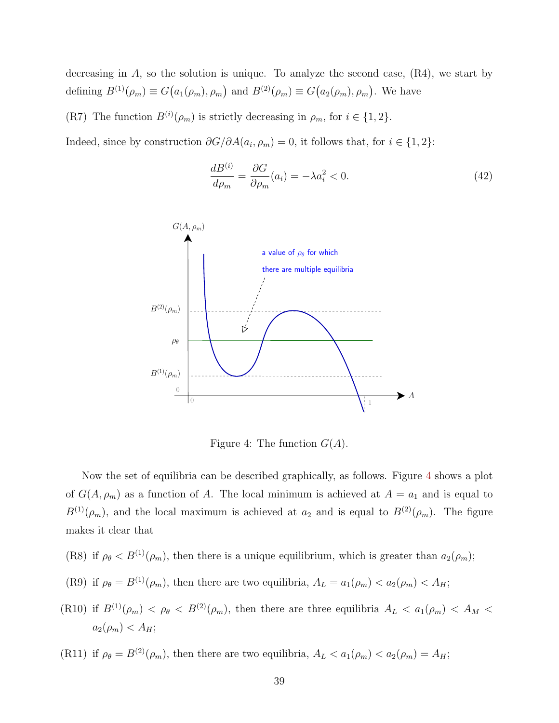decreasing in  $A$ , so the solution is unique. To analyze the second case,  $(R4)$ , we start by defining  $B^{(1)}(\rho_m) \equiv G(a_1(\rho_m), \rho_m)$  and  $B^{(2)}(\rho_m) \equiv G(a_2(\rho_m), \rho_m)$ . We have

(R7) The function  $B^{(i)}(\rho_m)$  is strictly decreasing in  $\rho_m$ , for  $i \in \{1,2\}$ .

Indeed, since by construction  $\partial G/\partial A(a_i, \rho_m) = 0$ , it follows that, for  $i \in \{1, 2\}$ :

<span id="page-39-1"></span>
$$
\frac{dB^{(i)}}{d\rho_m} = \frac{\partial G}{\partial \rho_m}(a_i) = -\lambda a_i^2 < 0. \tag{42}
$$



<span id="page-39-0"></span>Figure 4: The function  $G(A)$ .

Now the set of equilibria can be described graphically, as follows. Figure [4](#page-39-0) shows a plot of  $G(A, \rho_m)$  as a function of A. The local minimum is achieved at  $A = a_1$  and is equal to  $B^{(1)}(\rho_m)$ , and the local maximum is achieved at  $a_2$  and is equal to  $B^{(2)}(\rho_m)$ . The figure makes it clear that

- (R8) if  $\rho_{\theta} < B^{(1)}(\rho_m)$ , then there is a unique equilibrium, which is greater than  $a_2(\rho_m)$ ;
- (R9) if  $\rho_{\theta} = B^{(1)}(\rho_m)$ , then there are two equilibria,  $A_L = a_1(\rho_m) < a_2(\rho_m) < A_H$ ;
- (R10) if  $B^{(1)}(\rho_m) < \rho_\theta < B^{(2)}(\rho_m)$ , then there are three equilibria  $A_L < a_1(\rho_m) < A_M$  $a_2(\rho_m) < A_H;$

(R11) if  $\rho_{\theta} = B^{(2)}(\rho_m)$ , then there are two equilibria,  $A_L < a_1(\rho_m) < a_2(\rho_m) = A_H$ ;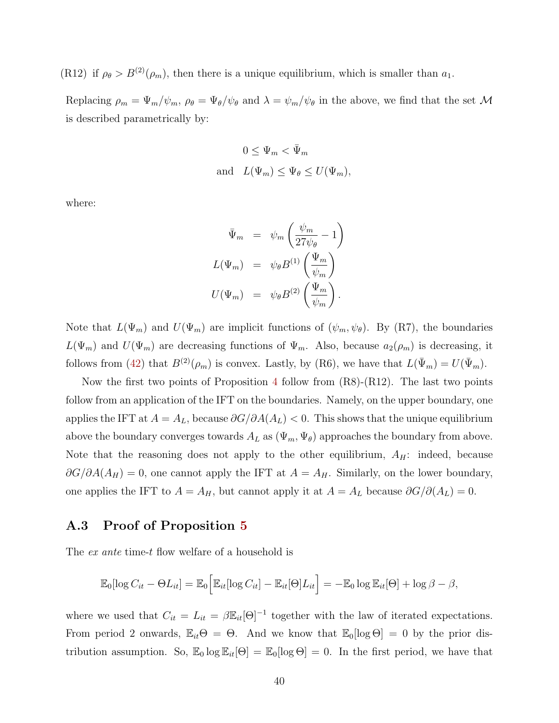(R12) if  $\rho_{\theta} > B^{(2)}(\rho_m)$ , then there is a unique equilibrium, which is smaller than  $a_1$ .

Replacing  $\rho_m = \Psi_m/\psi_m$ ,  $\rho_\theta = \Psi_\theta/\psi_\theta$  and  $\lambda = \psi_m/\psi_\theta$  in the above, we find that the set M is described parametrically by:

$$
0 \leq \Psi_m < \bar{\Psi}_m
$$
\nand

\n
$$
L(\Psi_m) \leq \Psi_\theta \leq U(\Psi_m),
$$

where:

$$
\begin{array}{rcl}\n\bar{\Psi}_m & = & \psi_m \left( \frac{\psi_m}{27 \psi_\theta} - 1 \right) \\
L(\Psi_m) & = & \psi_\theta B^{(1)} \left( \frac{\Psi_m}{\psi_m} \right) \\
U(\Psi_m) & = & \psi_\theta B^{(2)} \left( \frac{\Psi_m}{\psi_m} \right).\n\end{array}
$$

Note that  $L(\Psi_m)$  and  $U(\Psi_m)$  are implicit functions of  $(\psi_m, \psi_{\theta})$ . By (R7), the boundaries  $L(\Psi_m)$  and  $U(\Psi_m)$  are decreasing functions of  $\Psi_m$ . Also, because  $a_2(\rho_m)$  is decreasing, it follows from [\(42\)](#page-39-1) that  $B^{(2)}(\rho_m)$  is convex. Lastly, by (R6), we have that  $L(\bar{\Psi}_m) = U(\bar{\Psi}_m)$ .

Now the first two points of Proposition [4](#page-21-2) follow from (R8)-(R12). The last two points follow from an application of the IFT on the boundaries. Namely, on the upper boundary, one applies the IFT at  $A = A_L$ , because  $\partial G/\partial A(A_L) < 0$ . This shows that the unique equilibrium above the boundary converges towards  $A_L$  as  $(\Psi_m, \Psi_{\theta})$  approaches the boundary from above. Note that the reasoning does not apply to the other equilibrium,  $A_H$ : indeed, because  $\partial G/\partial A(A_H) = 0$ , one cannot apply the IFT at  $A = A_H$ . Similarly, on the lower boundary, one applies the IFT to  $A = A_H$ , but cannot apply it at  $A = A_L$  because  $\partial G/\partial(A_L) = 0$ .

## A.3 Proof of Proposition [5](#page-21-1)

The ex ante time-t flow welfare of a household is

$$
\mathbb{E}_0[\log C_{it} - \Theta L_{it}] = \mathbb{E}_0 \Big[ \mathbb{E}_{it}[\log C_{it}] - \mathbb{E}_{it}[\Theta] L_{it} \Big] = -\mathbb{E}_0 \log \mathbb{E}_{it}[\Theta] + \log \beta - \beta,
$$

where we used that  $C_{it} = L_{it} = \beta \mathbb{E}_{it}[\Theta]^{-1}$  together with the law of iterated expectations. From period 2 onwards,  $\mathbb{E}_{it}\Theta = \Theta$ . And we know that  $\mathbb{E}_{0}[\log \Theta] = 0$  by the prior distribution assumption. So,  $\mathbb{E}_0 \log \mathbb{E}_{it}[\Theta] = \mathbb{E}_0[\log \Theta] = 0$ . In the first period, we have that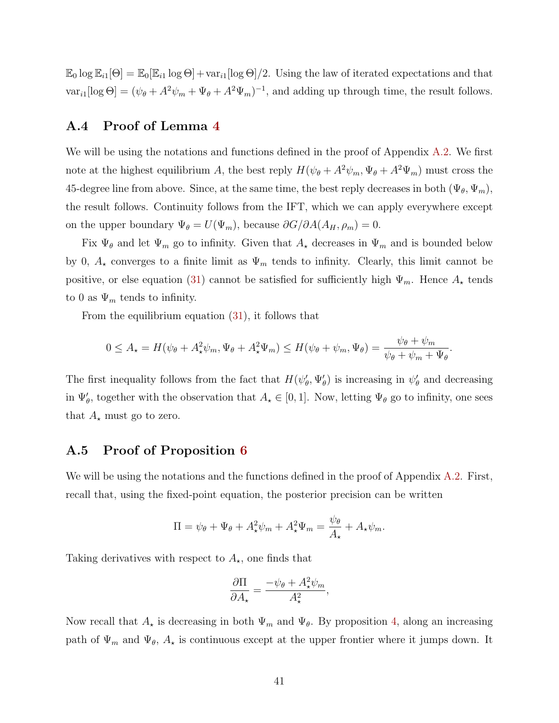$\mathbb{E}_0 \log \mathbb{E}_{i1}[\Theta] = \mathbb{E}_0[\mathbb{E}_{i1} \log \Theta] + \text{var}_{i1}[\log \Theta]/2$ . Using the law of iterated expectations and that  $var_{i1}[\log \Theta] = (\psi_{\theta} + A^2 \psi_m + \Psi_{\theta} + A^2 \Psi_m)^{-1}$ , and adding up through time, the result follows.

# A.4 Proof of Lemma [4](#page-22-1)

We will be using the notations and functions defined in the proof of Appendix [A.2.](#page-37-0) We first note at the highest equilibrium A, the best reply  $H(\psi_{\theta} + A^2 \psi_m, \Psi_{\theta} + A^2 \Psi_m)$  must cross the 45-degree line from above. Since, at the same time, the best reply decreases in both  $(\Psi_{\theta}, \Psi_{m})$ , the result follows. Continuity follows from the IFT, which we can apply everywhere except on the upper boundary  $\Psi_{\theta} = U(\Psi_m)$ , because  $\partial G/\partial A(A_H, \rho_m) = 0$ .

Fix  $\Psi_{\theta}$  and let  $\Psi_{m}$  go to infinity. Given that  $A_{\star}$  decreases in  $\Psi_{m}$  and is bounded below by 0,  $A_{\star}$  converges to a finite limit as  $\Psi_m$  tends to infinity. Clearly, this limit cannot be positive, or else equation [\(31\)](#page-16-2) cannot be satisfied for sufficiently high  $\Psi_m$ . Hence  $A_{\star}$  tends to 0 as  $\Psi_m$  tends to infinity.

From the equilibrium equation [\(31\)](#page-16-2), it follows that

$$
0 \le A_{\star} = H(\psi_{\theta} + A_{\star}^2 \psi_m, \Psi_{\theta} + A_{\star}^2 \Psi_m) \le H(\psi_{\theta} + \psi_m, \Psi_{\theta}) = \frac{\psi_{\theta} + \psi_m}{\psi_{\theta} + \psi_m + \Psi_{\theta}}.
$$

The first inequality follows from the fact that  $H(\psi'_{\theta}, \Psi'_{\theta})$  is increasing in  $\psi'_{\theta}$  and decreasing in  $\Psi'_{\theta}$ , together with the observation that  $A_{\star} \in [0,1]$ . Now, letting  $\Psi_{\theta}$  go to infinity, one sees that  $A_{\star}$  must go to zero.

# A.5 Proof of Proposition [6](#page-24-0)

We will be using the notations and the functions defined in the proof of Appendix [A.2.](#page-37-0) First, recall that, using the fixed-point equation, the posterior precision can be written

$$
\Pi = \psi_{\theta} + \Psi_{\theta} + A_{\star}^{2} \psi_{m} + A_{\star}^{2} \Psi_{m} = \frac{\psi_{\theta}}{A_{\star}} + A_{\star} \psi_{m}.
$$

Taking derivatives with respect to  $A_{\star}$ , one finds that

$$
\frac{\partial \Pi}{\partial A_{\star}} = \frac{-\psi_{\theta} + A_{\star}^2 \psi_m}{A_{\star}^2},
$$

Now recall that  $A_{\star}$  is decreasing in both  $\Psi_m$  and  $\Psi_{\theta}$ . By proposition [4,](#page-21-2) along an increasing path of  $\Psi_m$  and  $\Psi_{\theta}$ ,  $A_{\star}$  is continuous except at the upper frontier where it jumps down. It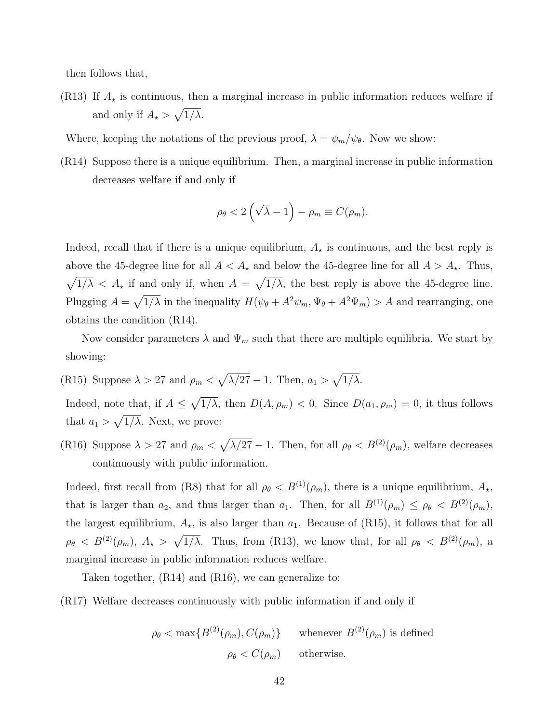then follows that,

(R13) If  $A_{\star}$  is continuous, then a marginal increase in public information reduces welfare if and only if  $A_{\star} > \sqrt{1/\lambda}$ .

Where, keeping the notations of the previous proof,  $\lambda = \psi_m/\psi_{\theta}$ . Now we show:

(R14) Suppose there is a unique equilibrium. Then, a marginal increase in public information decreases welfare if and only if

$$
\rho_{\theta} < 2\left(\sqrt{\lambda} - 1\right) - \rho_m \equiv C(\rho_m).
$$

Indeed, recall that if there is a unique equilibrium,  $A_{\star}$  is continuous, and the best reply is above the 45-degree line for all  $A < A_{\star}$  and below the 45-degree line for all  $A > A_{\star}$ . Thus,  $\sqrt{1/\lambda} < A_{\star}$  if and only if, when  $A = \sqrt{1/\lambda}$ , the best reply is above the 45-degree line. Plugging  $A = \sqrt{1/\lambda}$  in the inequality  $H(\psi_{\theta} + A^2 \psi_m, \Psi_{\theta} + A^2 \Psi_m) > A$  and rearranging, one obtains the condition (R14).

Now consider parameters  $\lambda$  and  $\Psi_m$  such that there are multiple equilibria. We start by showing:

(R15) Suppose  $\lambda > 27$  and  $\rho_m < \sqrt{\lambda/27} - 1$ . Then,  $a_1 > \sqrt{1/\lambda}$ .

Indeed, note that, if  $A \leq \sqrt{1/\lambda}$ , then  $D(A, \rho_m) < 0$ . Since  $D(a_1, \rho_m) = 0$ , it thus follows that  $a_1 > \sqrt{1/\lambda}$ . Next, we prove:

(R16) Suppose  $\lambda > 27$  and  $\rho_m < \sqrt{\lambda/27} - 1$ . Then, for all  $\rho_\theta < B^{(2)}(\rho_m)$ , welfare decreases continuously with public information.

Indeed, first recall from (R8) that for all  $\rho_{\theta} < B^{(1)}(\rho_m)$ , there is a unique equilibrium,  $A_{\star}$ , that is larger than  $a_2$ , and thus larger than  $a_1$ . Then, for all  $B^{(1)}(\rho_m) \le \rho_\theta < B^{(2)}(\rho_m)$ , the largest equilibrium,  $A_{\star}$ , is also larger than  $a_1$ . Because of (R15), it follows that for all  $\rho_{\theta} < B^{(2)}(\rho_m)$ ,  $A_{\star} > \sqrt{1/\lambda}$ . Thus, from (R13), we know that, for all  $\rho_{\theta} < B^{(2)}(\rho_m)$ , a marginal increase in public information reduces welfare.

Taken together, (R14) and (R16), we can generalize to:

(R17) Welfare decreases continuously with public information if and only if

$$
\rho_{\theta} < \max\{B^{(2)}(\rho_m), C(\rho_m)\}\
$$
 whenever  $B^{(2)}(\rho_m)$  is defined  
\n $\rho_{\theta} < C(\rho_m)$  otherwise.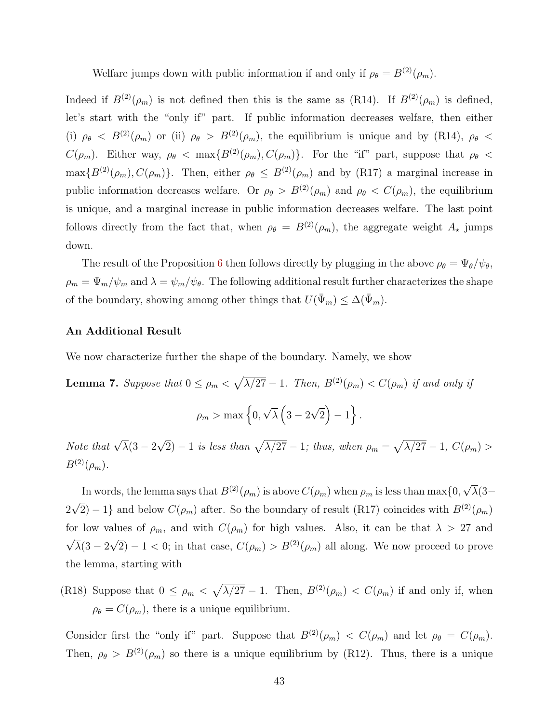Welfare jumps down with public information if and only if  $\rho_{\theta} = B^{(2)}(\rho_m)$ .

Indeed if  $B^{(2)}(\rho_m)$  is not defined then this is the same as (R14). If  $B^{(2)}(\rho_m)$  is defined, let's start with the "only if" part. If public information decreases welfare, then either (i)  $\rho_{\theta}$  <  $B^{(2)}(\rho_m)$  or (ii)  $\rho_{\theta} > B^{(2)}(\rho_m)$ , the equilibrium is unique and by (R14),  $\rho_{\theta}$  <  $C(\rho_m)$ . Either way,  $\rho_\theta$  < max $\{B^{(2)}(\rho_m), C(\rho_m)\}\$ . For the "if" part, suppose that  $\rho_\theta$  <  $\max\{B^{(2)}(\rho_m), C(\rho_m)\}\.$  Then, either  $\rho_\theta \leq B^{(2)}(\rho_m)$  and by (R17) a marginal increase in public information decreases welfare. Or  $\rho_{\theta} > B^{(2)}(\rho_m)$  and  $\rho_{\theta} < C(\rho_m)$ , the equilibrium is unique, and a marginal increase in public information decreases welfare. The last point follows directly from the fact that, when  $\rho_{\theta} = B^{(2)}(\rho_m)$ , the aggregate weight  $A_{\star}$  jumps down.

The result of the Proposition [6](#page-24-0) then follows directly by plugging in the above  $\rho_{\theta} = \Psi_{\theta}/\psi_{\theta}$ ,  $\rho_m = \Psi_m/\psi_m$  and  $\lambda = \psi_m/\psi_\theta$ . The following additional result further characterizes the shape of the boundary, showing among other things that  $U(\bar{\Psi}_m) \leq \Delta(\bar{\Psi}_m)$ .

### An Additional Result

We now characterize further the shape of the boundary. Namely, we show

**Lemma 7.** Suppose that  $0 \le \rho_m < \sqrt{\lambda/27} - 1$ . Then,  $B^{(2)}(\rho_m) < C(\rho_m)$  if and only if

$$
\rho_m > \max\left\{0, \sqrt{\lambda}\left(3 - 2\sqrt{2}\right) - 1\right\}.
$$

Note that  $\sqrt{\lambda}(3-2)$ √  $\overline{P(2)}-1$  is less than  $\sqrt{\lambda/27}-1$ ; thus, when  $\rho_m = \sqrt{\lambda/27}-1$ ,  $C(\rho_m) > 0$  $B^{(2)}(\rho_m)$ .

In words, the lemma says that  $B^{(2)}(\rho_m)$  is above  $C(\rho_m)$  when  $\rho_m$  is less than max $\{0,$ √  $\lambda(3-$ 2 √  $\overline{2}$ ) − 1} and below  $C(\rho_m)$  after. So the boundary of result (R17) coincides with  $B^{(2)}(\rho_m)$ for low values of  $\rho_m$ , and with  $C(\rho_m)$  for high values. Also, it can be that  $\lambda > 27$  and √  $\lambda(3-2)$ √  $\overline{2}$ ) – 1 < 0; in that case,  $C(\rho_m) > B^{(2)}(\rho_m)$  all along. We now proceed to prove the lemma, starting with

(R18) Suppose that  $0 \leq \rho_m < \sqrt{\lambda/27} - 1$ . Then,  $B^{(2)}(\rho_m) < C(\rho_m)$  if and only if, when  $\rho_{\theta} = C(\rho_m)$ , there is a unique equilibrium.

Consider first the "only if" part. Suppose that  $B^{(2)}(\rho_m) < C(\rho_m)$  and let  $\rho_\theta = C(\rho_m)$ . Then,  $\rho_{\theta} > B^{(2)}(\rho_m)$  so there is a unique equilibrium by (R12). Thus, there is a unique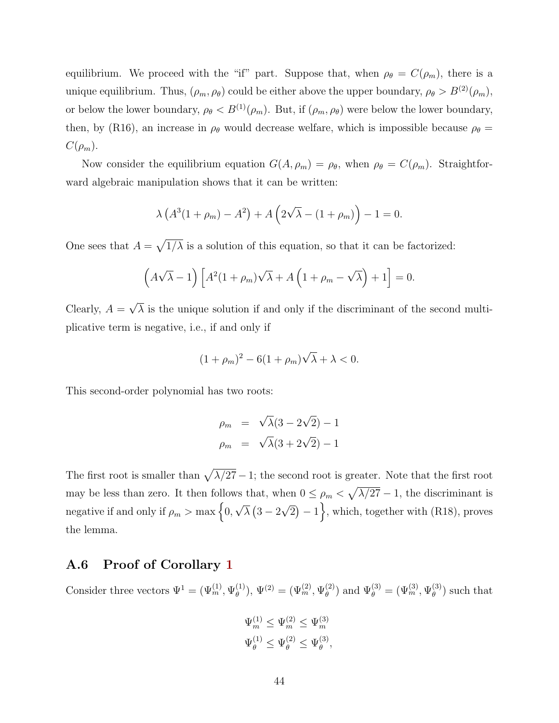equilibrium. We proceed with the "if" part. Suppose that, when  $\rho_{\theta} = C(\rho_m)$ , there is a unique equilibrium. Thus,  $(\rho_m, \rho_\theta)$  could be either above the upper boundary,  $\rho_\theta > B^{(2)}(\rho_m)$ , or below the lower boundary,  $\rho_{\theta} < B^{(1)}(\rho_m)$ . But, if  $(\rho_m, \rho_{\theta})$  were below the lower boundary, then, by (R16), an increase in  $\rho_{\theta}$  would decrease welfare, which is impossible because  $\rho_{\theta} =$  $C(\rho_m)$ .

Now consider the equilibrium equation  $G(A, \rho_m) = \rho_{\theta}$ , when  $\rho_{\theta} = C(\rho_m)$ . Straightforward algebraic manipulation shows that it can be written:

$$
\lambda \left( A^3(1+\rho_m) - A^2 \right) + A \left( 2\sqrt{\lambda} - (1+\rho_m) \right) - 1 = 0.
$$

One sees that  $A = \sqrt{1/\lambda}$  is a solution of this equation, so that it can be factorized:

$$
(A\sqrt{\lambda}-1)\left[A^2(1+\rho_m)\sqrt{\lambda}+A\left(1+\rho_m-\sqrt{\lambda}\right)+1\right]=0.
$$

Clearly,  $A =$ √  $\lambda$  is the unique solution if and only if the discriminant of the second multiplicative term is negative, i.e., if and only if

$$
(1+\rho_m)^2 - 6(1+\rho_m)\sqrt{\lambda} + \lambda < 0.
$$

This second-order polynomial has two roots:

$$
\rho_m = \sqrt{\lambda}(3 - 2\sqrt{2}) - 1
$$
  

$$
\rho_m = \sqrt{\lambda}(3 + 2\sqrt{2}) - 1
$$

The first root is smaller than  $\sqrt{\lambda/27} - 1$ ; the second root is greater. Note that the first root may be less than zero. It then follows that, when  $0 \leq \rho_m < \sqrt{\lambda/27} - 1$ , the discriminant is negative if and only if  $\rho_m > \max\Big\{0,$ √  $\overline{\lambda}$   $(3-2$ √  $\overline{2}$ ) – 1, which, together with (R18), proves the lemma.

## A.6 Proof of Corollary [1](#page-24-1)

Consider three vectors  $\Psi^1 = (\Psi_m^{(1)}, \Psi_\theta^{(1)})$  $\overset{(1)}{\theta}) , \, \Psi^{(2)} = (\Psi_m^{(2)}, \Psi_\theta^{(2)}$  $\{\Psi_{\theta}^{(3)} = (\Psi_m^{(3)}, \Psi_{\theta}^{(3)})\}$  $\binom{3}{\theta}$  such that

$$
\Psi_m^{(1)} \le \Psi_m^{(2)} \le \Psi_m^{(3)}
$$
  

$$
\Psi_\theta^{(1)} \le \Psi_\theta^{(2)} \le \Psi_\theta^{(3)},
$$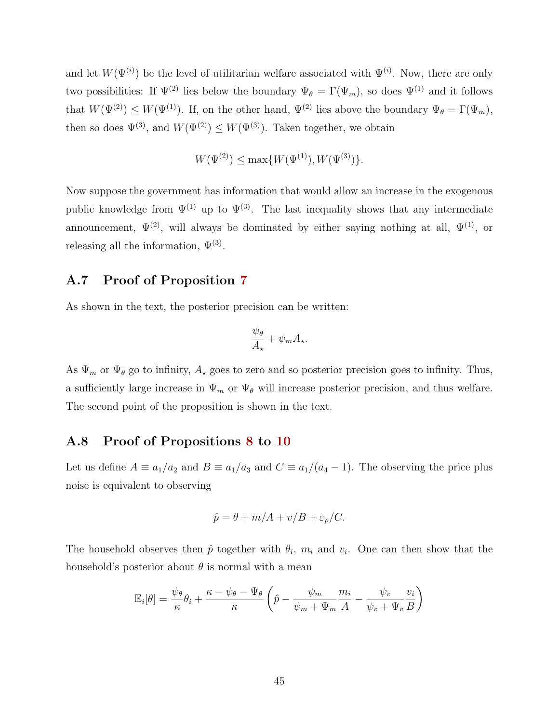and let  $W(\Psi^{(i)})$  be the level of utilitarian welfare associated with  $\Psi^{(i)}$ . Now, there are only two possibilities: If  $\Psi^{(2)}$  lies below the boundary  $\Psi_{\theta} = \Gamma(\Psi_m)$ , so does  $\Psi^{(1)}$  and it follows that  $W(\Psi^{(2)}) \leq W(\Psi^{(1)})$ . If, on the other hand,  $\Psi^{(2)}$  lies above the boundary  $\Psi_{\theta} = \Gamma(\Psi_m)$ , then so does  $\Psi^{(3)}$ , and  $W(\Psi^{(2)}) \leq W(\Psi^{(3)})$ . Taken together, we obtain

$$
W(\Psi^{(2)}) \le \max\{W(\Psi^{(1)}), W(\Psi^{(3)})\}.
$$

Now suppose the government has information that would allow an increase in the exogenous public knowledge from  $\Psi^{(1)}$  up to  $\Psi^{(3)}$ . The last inequality shows that any intermediate announcement,  $\Psi^{(2)}$ , will always be dominated by either saying nothing at all,  $\Psi^{(1)}$ , or releasing all the information,  $\Psi^{(3)}$ .

# A.7 Proof of Proposition [7](#page-25-1)

As shown in the text, the posterior precision can be written:

$$
\frac{\psi_{\theta}}{A_{\star}} + \psi_m A_{\star}.
$$

As  $\Psi_m$  or  $\Psi_\theta$  go to infinity,  $A_\star$  goes to zero and so posterior precision goes to infinity. Thus, a sufficiently large increase in  $\Psi_m$  or  $\Psi_\theta$  will increase posterior precision, and thus welfare. The second point of the proposition is shown in the text.

# A.8 Proof of Propositions [8](#page-32-1) to [10](#page-32-2)

Let us define  $A \equiv a_1/a_2$  and  $B \equiv a_1/a_3$  and  $C \equiv a_1/(a_4 - 1)$ . The observing the price plus noise is equivalent to observing

$$
\hat{p} = \theta + m/A + v/B + \varepsilon_p/C.
$$

The household observes then  $\hat{p}$  together with  $\theta_i$ ,  $m_i$  and  $v_i$ . One can then show that the household's posterior about  $\theta$  is normal with a mean

$$
\mathbb{E}_{i}[\theta] = \frac{\psi_{\theta}}{\kappa} \theta_{i} + \frac{\kappa - \psi_{\theta} - \Psi_{\theta}}{\kappa} \left( \hat{p} - \frac{\psi_{m}}{\psi_{m} + \Psi_{m}} \frac{m_{i}}{A} - \frac{\psi_{v}}{\psi_{v} + \Psi_{v}} \frac{v_{i}}{B} \right)
$$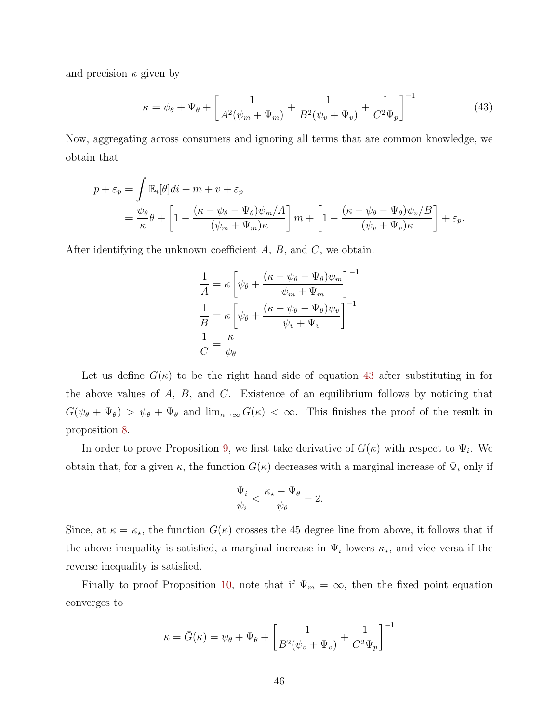and precision  $\kappa$  given by

$$
\kappa = \psi_{\theta} + \Psi_{\theta} + \left[ \frac{1}{A^2(\psi_m + \Psi_m)} + \frac{1}{B^2(\psi_v + \Psi_v)} + \frac{1}{C^2 \Psi_p} \right]^{-1}
$$
(43)

Now, aggregating across consumers and ignoring all terms that are common knowledge, we obtain that

$$
p + \varepsilon_p = \int \mathbb{E}_i[\theta]di + m + v + \varepsilon_p
$$
  
=  $\frac{\psi_\theta}{\kappa} \theta + \left[1 - \frac{(\kappa - \psi_\theta - \Psi_\theta)\psi_m/A}{(\psi_m + \Psi_m)\kappa}\right]m + \left[1 - \frac{(\kappa - \psi_\theta - \Psi_\theta)\psi_v/B}{(\psi_v + \Psi_v)\kappa}\right] + \varepsilon_p.$ 

After identifying the unknown coefficient  $A, B$ , and  $C$ , we obtain:

<span id="page-46-0"></span>
$$
\frac{1}{A} = \kappa \left[ \psi_{\theta} + \frac{(\kappa - \psi_{\theta} - \Psi_{\theta})\psi_m}{\psi_m + \Psi_m} \right]^{-1}
$$

$$
\frac{1}{B} = \kappa \left[ \psi_{\theta} + \frac{(\kappa - \psi_{\theta} - \Psi_{\theta})\psi_v}{\psi_v + \Psi_v} \right]^{-1}
$$

$$
\frac{1}{C} = \frac{\kappa}{\psi_{\theta}}
$$

Let us define  $G(\kappa)$  to be the right hand side of equation [43](#page-46-0) after substituting in for the above values of  $A$ ,  $B$ , and  $C$ . Existence of an equilibrium follows by noticing that  $G(\psi_{\theta} + \Psi_{\theta}) > \psi_{\theta} + \Psi_{\theta}$  and  $\lim_{\kappa \to \infty} G(\kappa) < \infty$ . This finishes the proof of the result in proposition [8.](#page-32-1)

In order to prove Proposition [9,](#page-32-0) we first take derivative of  $G(\kappa)$  with respect to  $\Psi_i$ . We obtain that, for a given  $\kappa$ , the function  $G(\kappa)$  decreases with a marginal increase of  $\Psi_i$  only if

$$
\frac{\Psi_i}{\psi_i} < \frac{\kappa_\star - \Psi_\theta}{\psi_\theta} - 2.
$$

Since, at  $\kappa = \kappa_{\star}$ , the function  $G(\kappa)$  crosses the 45 degree line from above, it follows that if the above inequality is satisfied, a marginal increase in  $\Psi_i$  lowers  $\kappa_{\star}$ , and vice versa if the reverse inequality is satisfied.

Finally to proof Proposition [10,](#page-32-2) note that if  $\Psi_m = \infty$ , then the fixed point equation converges to

$$
\kappa = \bar{G}(\kappa) = \psi_{\theta} + \Psi_{\theta} + \left[\frac{1}{B^2(\psi_v + \Psi_v)} + \frac{1}{C^2 \Psi_p}\right]^{-1}
$$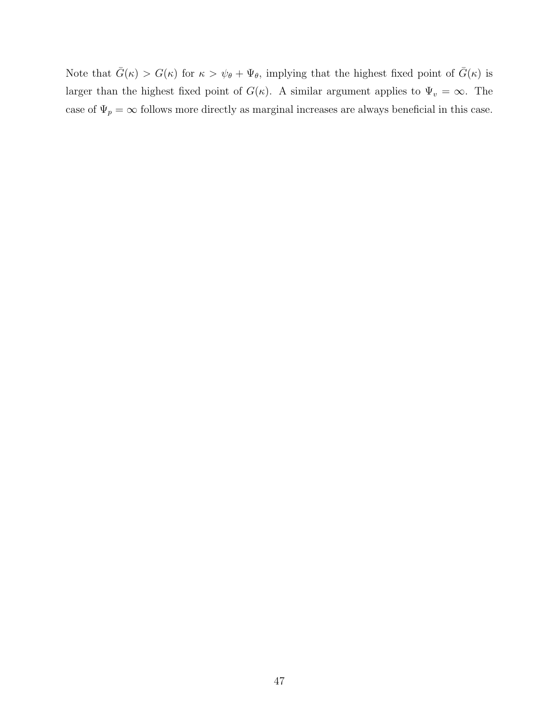Note that  $\bar{G}(\kappa) > G(\kappa)$  for  $\kappa > \psi_{\theta} + \Psi_{\theta}$ , implying that the highest fixed point of  $\bar{G}(\kappa)$  is larger than the highest fixed point of  $G(\kappa)$ . A similar argument applies to  $\Psi_v = \infty$ . The case of  $\Psi_p = \infty$  follows more directly as marginal increases are always beneficial in this case.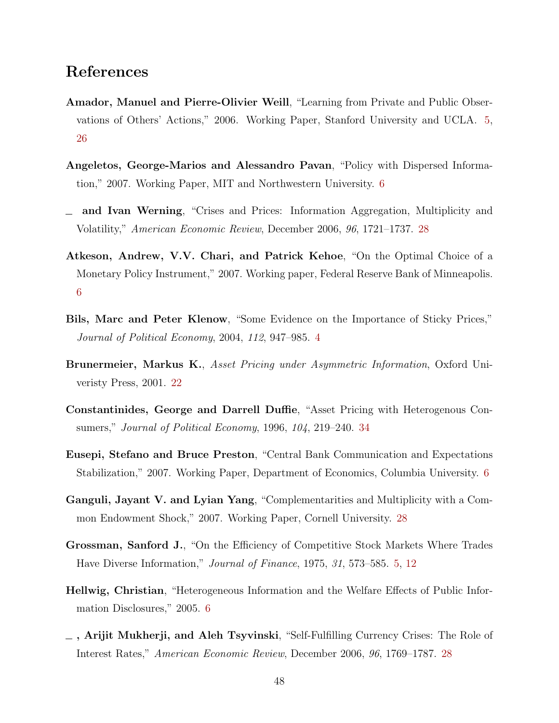# References

- <span id="page-48-1"></span>Amador, Manuel and Pierre-Olivier Weill, "Learning from Private and Public Observations of Others' Actions," 2006. Working Paper, Stanford University and UCLA. [5,](#page-5-0) [26](#page-26-0)
- <span id="page-48-4"></span>Angeletos, George-Marios and Alessandro Pavan, "Policy with Dispersed Information," 2007. Working Paper, MIT and Northwestern University. [6](#page-6-0)
- <span id="page-48-8"></span>and Ivan Werning, "Crises and Prices: Information Aggregation, Multiplicity and Volatility," American Economic Review, December 2006, 96, 1721–1737. [28](#page-28-0)
- <span id="page-48-5"></span>Atkeson, Andrew, V.V. Chari, and Patrick Kehoe, "On the Optimal Choice of a Monetary Policy Instrument," 2007. Working paper, Federal Reserve Bank of Minneapolis. [6](#page-6-0)
- <span id="page-48-0"></span>Bils, Marc and Peter Klenow, "Some Evidence on the Importance of Sticky Prices," Journal of Political Economy, 2004, 112, 947–985. [4](#page-4-0)
- <span id="page-48-7"></span>Brunermeier, Markus K., Asset Pricing under Asymmetric Information, Oxford Univeristy Press, 2001. [22](#page-22-2)
- <span id="page-48-11"></span>Constantinides, George and Darrell Duffie, "Asset Pricing with Heterogenous Consumers," Journal of Political Economy, 1996, 104, 219–240. [34](#page-34-1)
- <span id="page-48-6"></span>Eusepi, Stefano and Bruce Preston, "Central Bank Communication and Expectations Stabilization," 2007. Working Paper, Department of Economics, Columbia University. [6](#page-6-0)
- <span id="page-48-10"></span>Ganguli, Jayant V. and Lyian Yang, "Complementarities and Multiplicity with a Common Endowment Shock," 2007. Working Paper, Cornell University. [28](#page-28-0)
- <span id="page-48-2"></span>Grossman, Sanford J., "On the Efficiency of Competitive Stock Markets Where Trades Have Diverse Information," Journal of Finance, 1975, 31, 573–585. [5,](#page-5-0) [12](#page-12-1)
- <span id="page-48-3"></span>Hellwig, Christian, "Heterogeneous Information and the Welfare Effects of Public Information Disclosures," 2005. [6](#page-6-0)
- <span id="page-48-9"></span>, Arijit Mukherji, and Aleh Tsyvinski, "Self-Fulfilling Currency Crises: The Role of Interest Rates," American Economic Review, December 2006, 96, 1769–1787. [28](#page-28-0)